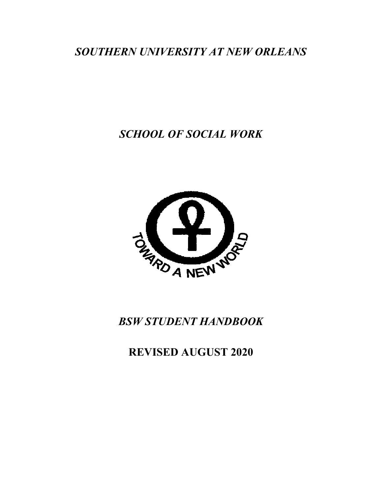# *SOUTHERN UNIVERSITY AT NEW ORLEANS*

*SCHOOL OF SOCIAL WORK*



# *BSW STUDENT HANDBOOK*

**REVISED AUGUST 2020**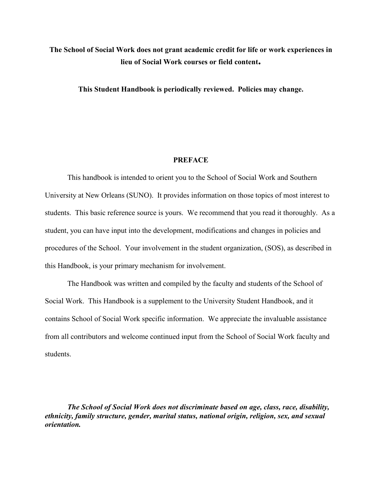# **The School of Social Work does not grant academic credit for life or work experiences in lieu of Social Work courses or field content.**

**This Student Handbook is periodically reviewed. Policies may change.**

#### **PREFACE**

This handbook is intended to orient you to the School of Social Work and Southern University at New Orleans (SUNO). It provides information on those topics of most interest to students. This basic reference source is yours. We recommend that you read it thoroughly. As a student, you can have input into the development, modifications and changes in policies and procedures of the School. Your involvement in the student organization, (SOS), as described in this Handbook, is your primary mechanism for involvement.

The Handbook was written and compiled by the faculty and students of the School of Social Work. This Handbook is a supplement to the University Student Handbook, and it contains School of Social Work specific information. We appreciate the invaluable assistance from all contributors and welcome continued input from the School of Social Work faculty and students.

*The School of Social Work does not discriminate based on age, class, race, disability, ethnicity, family structure, gender, marital status, national origin, religion, sex, and sexual orientation.*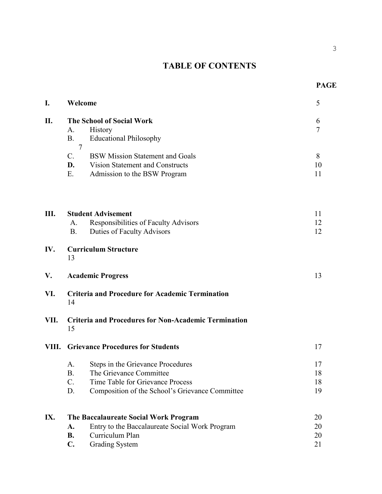# **TABLE OF CONTENTS**

| I.    | Welcome                                                                                                                                                                     | 5                        |  |  |  |  |
|-------|-----------------------------------------------------------------------------------------------------------------------------------------------------------------------------|--------------------------|--|--|--|--|
| П.    | <b>The School of Social Work</b><br>History<br>A.<br><b>B.</b><br><b>Educational Philosophy</b><br>$\overline{7}$<br>$C_{\cdot}$<br><b>BSW Mission Statement and Goals</b>  | 6<br>$\overline{7}$<br>8 |  |  |  |  |
|       | D.<br><b>Vision Statement and Constructs</b><br>Ε.<br>Admission to the BSW Program                                                                                          | 10<br>11                 |  |  |  |  |
| Ш.    | <b>Student Advisement</b><br>Responsibilities of Faculty Advisors<br>А.<br><b>B.</b><br><b>Duties of Faculty Advisors</b>                                                   | 11<br>12<br>12           |  |  |  |  |
| IV.   | <b>Curriculum Structure</b><br>13                                                                                                                                           |                          |  |  |  |  |
| V.    | <b>Academic Progress</b>                                                                                                                                                    | 13                       |  |  |  |  |
| VI.   | <b>Criteria and Procedure for Academic Termination</b><br>14                                                                                                                |                          |  |  |  |  |
| VII.  | <b>Criteria and Procedures for Non-Academic Termination</b><br>15                                                                                                           |                          |  |  |  |  |
| VIII. | <b>Grievance Procedures for Students</b>                                                                                                                                    | 17                       |  |  |  |  |
|       | Steps in the Grievance Procedures<br>A.<br>The Grievance Committee<br>В.<br>Time Table for Grievance Process<br>C.<br>D.<br>Composition of the School's Grievance Committee | 17<br>18<br>18<br>19     |  |  |  |  |
| IX.   | The Baccalaureate Social Work Program<br>Entry to the Baccalaureate Social Work Program<br>A.<br>Curriculum Plan<br><b>B.</b><br>$C_{\bullet}$<br><b>Grading System</b>     | 20<br>20<br>20<br>21     |  |  |  |  |

**PAGE**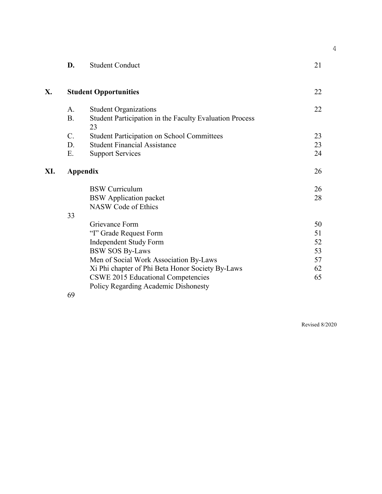|     | D.         | <b>Student Conduct</b>                                        | 21 |
|-----|------------|---------------------------------------------------------------|----|
| X.  |            | <b>Student Opportunities</b>                                  | 22 |
|     | A.         | <b>Student Organizations</b>                                  | 22 |
|     | <b>B.</b>  | Student Participation in the Faculty Evaluation Process<br>23 |    |
|     | C.         | <b>Student Participation on School Committees</b>             | 23 |
|     | D.         | <b>Student Financial Assistance</b>                           | 23 |
|     | E.         | <b>Support Services</b>                                       | 24 |
| XI. |            | <b>Appendix</b>                                               | 26 |
|     |            | <b>BSW</b> Curriculum                                         | 26 |
|     |            | <b>BSW</b> Application packet                                 | 28 |
|     |            | <b>NASW Code of Ethics</b>                                    |    |
|     | 33         |                                                               |    |
|     |            | Grievance Form                                                | 50 |
|     |            | "I" Grade Request Form                                        | 51 |
|     |            | <b>Independent Study Form</b>                                 | 52 |
|     |            | <b>BSW SOS By-Laws</b>                                        | 53 |
|     |            | Men of Social Work Association By-Laws                        | 57 |
|     |            | Xi Phi chapter of Phi Beta Honor Society By-Laws              | 62 |
|     |            | CSWE 2015 Educational Competencies                            | 65 |
|     |            | Policy Regarding Academic Dishonesty                          |    |
|     | $\sqrt{2}$ |                                                               |    |

69

Revised 8/2020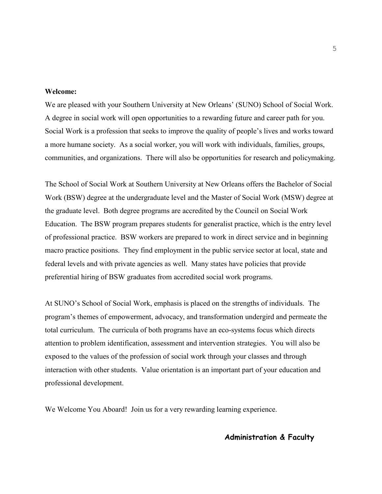#### **Welcome:**

We are pleased with your Southern University at New Orleans' (SUNO) School of Social Work. A degree in social work will open opportunities to a rewarding future and career path for you. Social Work is a profession that seeks to improve the quality of people's lives and works toward a more humane society. As a social worker, you will work with individuals, families, groups, communities, and organizations. There will also be opportunities for research and policymaking.

The School of Social Work at Southern University at New Orleans offers the Bachelor of Social Work (BSW) degree at the undergraduate level and the Master of Social Work (MSW) degree at the graduate level. Both degree programs are accredited by the Council on Social Work Education. The BSW program prepares students for generalist practice, which is the entry level of professional practice. BSW workers are prepared to work in direct service and in beginning macro practice positions. They find employment in the public service sector at local, state and federal levels and with private agencies as well. Many states have policies that provide preferential hiring of BSW graduates from accredited social work programs.

At SUNO's School of Social Work, emphasis is placed on the strengths of individuals. The program's themes of empowerment, advocacy, and transformation undergird and permeate the total curriculum. The curricula of both programs have an eco-systems focus which directs attention to problem identification, assessment and intervention strategies. You will also be exposed to the values of the profession of social work through your classes and through interaction with other students. Value orientation is an important part of your education and professional development.

We Welcome You Aboard! Join us for a very rewarding learning experience.

# **Administration & Faculty**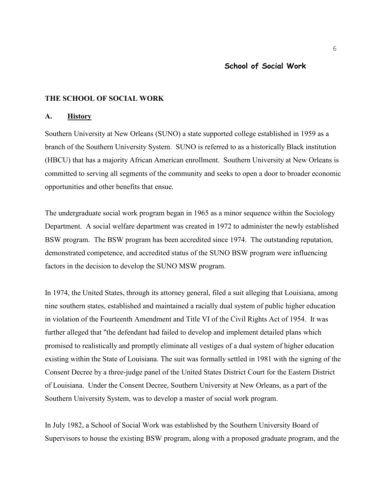# **School of Social Work**

#### **THE SCHOOL OF SOCIAL WORK**

#### **A. History**

Southern University at New Orleans (SUNO) a state supported college established in 1959 as a branch of the Southern University System. SUNO is referred to as a historically Black institution (HBCU) that has a majority African American enrollment. Southern University at New Orleans is committed to serving all segments of the community and seeks to open a door to broader economic opportunities and other benefits that ensue.

The undergraduate social work program began in 1965 as a minor sequence within the Sociology Department. A social welfare department was created in 1972 to administer the newly established BSW program. The BSW program has been accredited since 1974. The outstanding reputation, demonstrated competence, and accredited status of the SUNO BSW program were influencing factors in the decision to develop the SUNO MSW program.

In 1974, the United States, through its attorney general, filed a suit alleging that Louisiana, among nine southern states, established and maintained a racially dual system of public higher education in violation of the Fourteenth Amendment and Title VI of the Civil Rights Act of 1954. It was further alleged that "the defendant had failed to develop and implement detailed plans which promised to realistically and promptly eliminate all vestiges of a dual system of higher education existing within the State of Louisiana. The suit was formally settled in 1981 with the signing of the Consent Decree by a three-judge panel of the United States District Court for the Eastern District of Louisiana. Under the Consent Decree, Southern University at New Orleans, as a part of the Southern University System, was to develop a master of social work program.

In July 1982, a School of Social Work was established by the Southern University Board of Supervisors to house the existing BSW program, along with a proposed graduate program, and the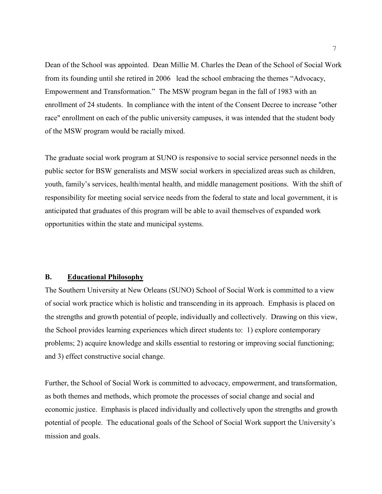Dean of the School was appointed. Dean Millie M. Charles the Dean of the School of Social Work from its founding until she retired in 2006 lead the school embracing the themes "Advocacy, Empowerment and Transformation." The MSW program began in the fall of 1983 with an enrollment of 24 students. In compliance with the intent of the Consent Decree to increase "other race" enrollment on each of the public university campuses, it was intended that the student body of the MSW program would be racially mixed.

The graduate social work program at SUNO is responsive to social service personnel needs in the public sector for BSW generalists and MSW social workers in specialized areas such as children, youth, family's services, health/mental health, and middle management positions. With the shift of responsibility for meeting social service needs from the federal to state and local government, it is anticipated that graduates of this program will be able to avail themselves of expanded work opportunities within the state and municipal systems.

# **B. Educational Philosophy**

The Southern University at New Orleans (SUNO) School of Social Work is committed to a view of social work practice which is holistic and transcending in its approach. Emphasis is placed on the strengths and growth potential of people, individually and collectively. Drawing on this view, the School provides learning experiences which direct students to: 1) explore contemporary problems; 2) acquire knowledge and skills essential to restoring or improving social functioning; and 3) effect constructive social change.

Further, the School of Social Work is committed to advocacy, empowerment, and transformation, as both themes and methods, which promote the processes of social change and social and economic justice. Emphasis is placed individually and collectively upon the strengths and growth potential of people. The educational goals of the School of Social Work support the University's mission and goals.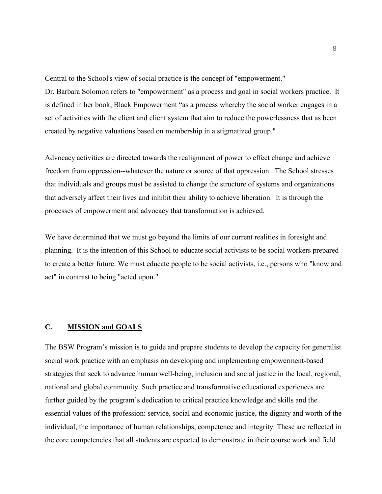Central to the School's view of social practice is the concept of "empowerment."

Dr. Barbara Solomon refers to "empowerment" as a process and goal in social workers practice. It is defined in her book, Black Empowerment "as a process whereby the social worker engages in a set of activities with the client and client system that aim to reduce the powerlessness that as been created by negative valuations based on membership in a stigmatized group."

Advocacy activities are directed towards the realignment of power to effect change and achieve freedom from oppression--whatever the nature or source of that oppression. The School stresses that individuals and groups must be assisted to change the structure of systems and organizations that adversely affect their lives and inhibit their ability to achieve liberation. It is through the processes of empowerment and advocacy that transformation is achieved.

We have determined that we must go beyond the limits of our current realities in foresight and planning. It is the intention of this School to educate social activists to be social workers prepared to create a better future. We must educate people to be social activists, i.e., persons who "know and act" in contrast to being "acted upon."

## **C. MISSION and GOALS**

The BSW Program's mission is to guide and prepare students to develop the capacity for generalist social work practice with an emphasis on developing and implementing empowerment-based strategies that seek to advance human well-being, inclusion and social justice in the local, regional, national and global community. Such practice and transformative educational experiences are further guided by the program's dedication to critical practice knowledge and skills and the essential values of the profession: service, social and economic justice, the dignity and worth of the individual, the importance of human relationships, competence and integrity. These are reflected in the core competencies that all students are expected to demonstrate in their course work and field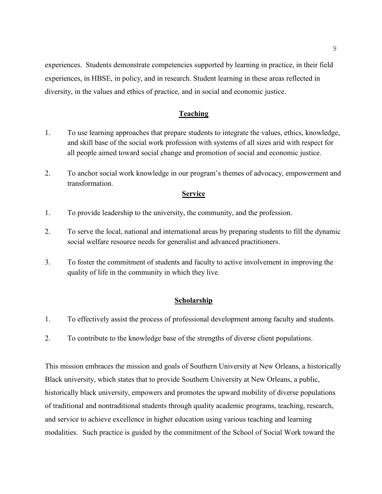experiences. Students demonstrate competencies supported by learning in practice, in their field experiences, in HBSE, in policy, and in research. Student learning in these areas reflected in diversity, in the values and ethics of practice, and in social and economic justice.

## **Teaching**

- 1. To use learning approaches that prepare students to integrate the values, ethics, knowledge, and skill base of the social work profession with systems of all sizes arid with respect for all people aimed toward social change and promotion of social and economic justice.
- 2. To anchor social work knowledge in our program's themes of advocacy, empowerment and transformation.

## **Service**

- 1. To provide leadership to the university, the community, and the profession.
- 2. To serve the local, national and international areas by preparing students to fill the dynamic social welfare resource needs for generalist and advanced practitioners.
- 3. To foster the commitment of students and faculty to active involvement in improving the quality of life in the community in which they live.

# **Scholarship**

- 1. To effectively assist the process of professional development among faculty and students.
- 2. To contribute to the knowledge base of the strengths of diverse client populations.

This mission embraces the mission and goals of Southern University at New Orleans, a historically Black university, which states that to provide Southern University at New Orleans, a public, historically black university, empowers and promotes the upward mobility of diverse populations of traditional and nontraditional students through quality academic programs, teaching, research, and service to achieve excellence in higher education using various teaching and learning modalities. Such practice is guided by the commitment of the School of Social Work toward the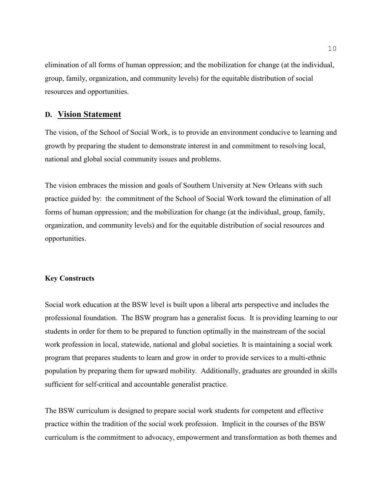elimination of all forms of human oppression; and the mobilization for change (at the individual, group, family, organization, and community levels) for the equitable distribution of social resources and opportunities.

# **D. Vision Statement**

The vision, of the School of Social Work, is to provide an environment conducive to learning and growth by preparing the student to demonstrate interest in and commitment to resolving local, national and global social community issues and problems.

The vision embraces the mission and goals of Southern University at New Orleans with such practice guided by: the commitment of the School of Social Work toward the elimination of all forms of human oppression; and the mobilization for change (at the individual, group, family, organization, and community levels) and for the equitable distribution of social resources and opportunities.

#### **Key Constructs**

Social work education at the BSW level is built upon a liberal arts perspective and includes the professional foundation. The BSW program has a generalist focus. It is providing learning to our students in order for them to be prepared to function optimally in the mainstream of the social work profession in local, statewide, national and global societies. It is maintaining a social work program that prepares students to learn and grow in order to provide services to a multi-ethnic population by preparing them for upward mobility. Additionally, graduates are grounded in skills sufficient for self-critical and accountable generalist practice.

The BSW curriculum is designed to prepare social work students for competent and effective practice within the tradition of the social work profession. Implicit in the courses of the BSW curriculum is the commitment to advocacy, empowerment and transformation as both themes and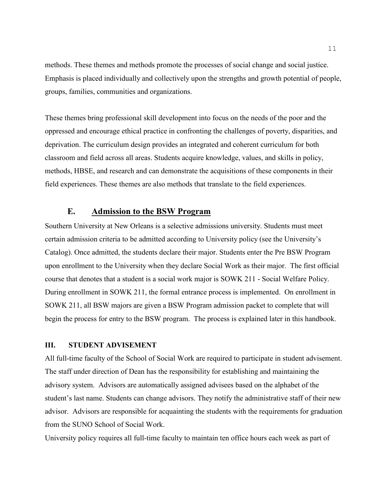methods. These themes and methods promote the processes of social change and social justice. Emphasis is placed individually and collectively upon the strengths and growth potential of people, groups, families, communities and organizations.

These themes bring professional skill development into focus on the needs of the poor and the oppressed and encourage ethical practice in confronting the challenges of poverty, disparities, and deprivation. The curriculum design provides an integrated and coherent curriculum for both classroom and field across all areas. Students acquire knowledge, values, and skills in policy, methods, HBSE, and research and can demonstrate the acquisitions of these components in their field experiences. These themes are also methods that translate to the field experiences.

# **E. Admission to the BSW Program**

Southern University at New Orleans is a selective admissions university. Students must meet certain admission criteria to be admitted according to University policy (see the University's Catalog). Once admitted, the students declare their major. Students enter the Pre BSW Program upon enrollment to the University when they declare Social Work as their major. The first official course that denotes that a student is a social work major is SOWK 211 - Social Welfare Policy. During enrollment in SOWK 211, the formal entrance process is implemented. On enrollment in SOWK 211, all BSW majors are given a BSW Program admission packet to complete that will begin the process for entry to the BSW program. The process is explained later in this handbook.

#### **III. STUDENT ADVISEMENT**

All full-time faculty of the School of Social Work are required to participate in student advisement. The staff under direction of Dean has the responsibility for establishing and maintaining the advisory system. Advisors are automatically assigned advisees based on the alphabet of the student's last name. Students can change advisors. They notify the administrative staff of their new advisor. Advisors are responsible for acquainting the students with the requirements for graduation from the SUNO School of Social Work.

University policy requires all full-time faculty to maintain ten office hours each week as part of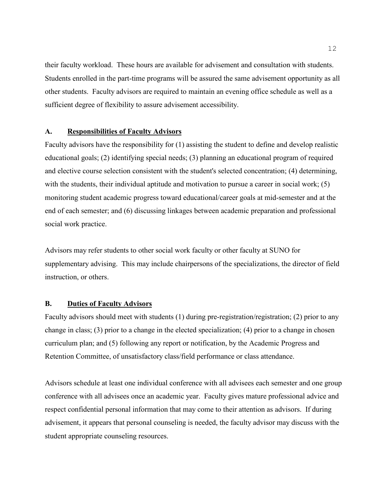their faculty workload. These hours are available for advisement and consultation with students. Students enrolled in the part-time programs will be assured the same advisement opportunity as all other students. Faculty advisors are required to maintain an evening office schedule as well as a sufficient degree of flexibility to assure advisement accessibility.

## **A. Responsibilities of Faculty Advisors**

Faculty advisors have the responsibility for (1) assisting the student to define and develop realistic educational goals; (2) identifying special needs; (3) planning an educational program of required and elective course selection consistent with the student's selected concentration; (4) determining, with the students, their individual aptitude and motivation to pursue a career in social work; (5) monitoring student academic progress toward educational/career goals at mid-semester and at the end of each semester; and (6) discussing linkages between academic preparation and professional social work practice.

Advisors may refer students to other social work faculty or other faculty at SUNO for supplementary advising. This may include chairpersons of the specializations, the director of field instruction, or others.

## **B. Duties of Faculty Advisors**

Faculty advisors should meet with students (1) during pre-registration/registration; (2) prior to any change in class; (3) prior to a change in the elected specialization; (4) prior to a change in chosen curriculum plan; and (5) following any report or notification, by the Academic Progress and Retention Committee, of unsatisfactory class/field performance or class attendance.

Advisors schedule at least one individual conference with all advisees each semester and one group conference with all advisees once an academic year. Faculty gives mature professional advice and respect confidential personal information that may come to their attention as advisors. If during advisement, it appears that personal counseling is needed, the faculty advisor may discuss with the student appropriate counseling resources.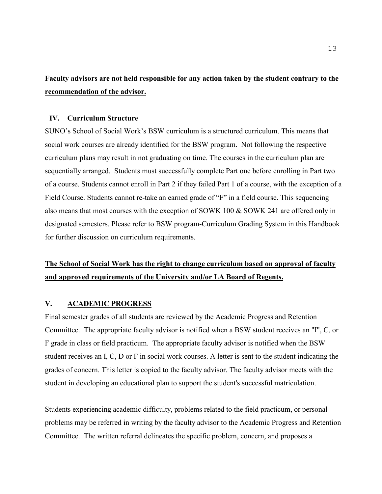# **Faculty advisors are not held responsible for any action taken by the student contrary to the recommendation of the advisor.**

# **IV. Curriculum Structure**

SUNO's School of Social Work's BSW curriculum is a structured curriculum. This means that social work courses are already identified for the BSW program. Not following the respective curriculum plans may result in not graduating on time. The courses in the curriculum plan are sequentially arranged. Students must successfully complete Part one before enrolling in Part two of a course. Students cannot enroll in Part 2 if they failed Part 1 of a course, with the exception of a Field Course. Students cannot re-take an earned grade of "F" in a field course. This sequencing also means that most courses with the exception of SOWK 100 & SOWK 241 are offered only in designated semesters. Please refer to BSW program-Curriculum Grading System in this Handbook for further discussion on curriculum requirements.

# **The School of Social Work has the right to change curriculum based on approval of faculty and approved requirements of the University and/or LA Board of Regents.**

# **V. ACADEMIC PROGRESS**

Final semester grades of all students are reviewed by the Academic Progress and Retention Committee. The appropriate faculty advisor is notified when a BSW student receives an "I", C, or F grade in class or field practicum. The appropriate faculty advisor is notified when the BSW student receives an I, C, D or F in social work courses. A letter is sent to the student indicating the grades of concern. This letter is copied to the faculty advisor. The faculty advisor meets with the student in developing an educational plan to support the student's successful matriculation.

Students experiencing academic difficulty, problems related to the field practicum, or personal problems may be referred in writing by the faculty advisor to the Academic Progress and Retention Committee. The written referral delineates the specific problem, concern, and proposes a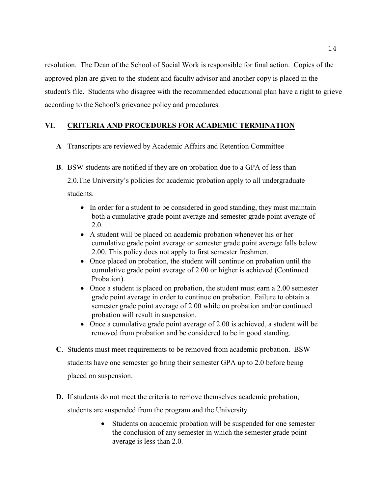resolution. The Dean of the School of Social Work is responsible for final action. Copies of the approved plan are given to the student and faculty advisor and another copy is placed in the student's file. Students who disagree with the recommended educational plan have a right to grieve according to the School's grievance policy and procedures.

# **VI. CRITERIA AND PROCEDURES FOR ACADEMIC TERMINATION**

- **A** Transcripts are reviewed by Academic Affairs and Retention Committee
- **B**. BSW students are notified if they are on probation due to a GPA of less than 2.0.The University's policies for academic probation apply to all undergraduate students.
	- In order for a student to be considered in good standing, they must maintain both a cumulative grade point average and semester grade point average of 2.0.
	- A student will be placed on academic probation whenever his or her cumulative grade point average or semester grade point average falls below 2.00. This policy does not apply to first semester freshmen.
	- Once placed on probation, the student will continue on probation until the cumulative grade point average of 2.00 or higher is achieved (Continued Probation).
	- Once a student is placed on probation, the student must earn a 2.00 semester grade point average in order to continue on probation. Failure to obtain a semester grade point average of 2.00 while on probation and/or continued probation will result in suspension.
	- Once a cumulative grade point average of 2.00 is achieved, a student will be removed from probation and be considered to be in good standing.
- **C**. Students must meet requirements to be removed from academic probation. BSW students have one semester go bring their semester GPA up to 2.0 before being placed on suspension.
- **D.** If students do not meet the criteria to remove themselves academic probation, students are suspended from the program and the University.
	- Students on academic probation will be suspended for one semester the conclusion of any semester in which the semester grade point average is less than 2.0.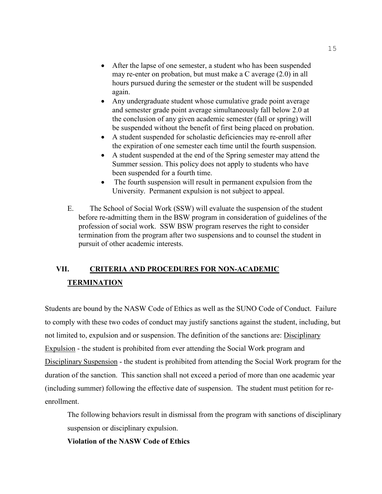- After the lapse of one semester, a student who has been suspended may re-enter on probation, but must make a C average (2.0) in all hours pursued during the semester or the student will be suspended again.
- Any undergraduate student whose cumulative grade point average and semester grade point average simultaneously fall below 2.0 at the conclusion of any given academic semester (fall or spring) will be suspended without the benefit of first being placed on probation.
- A student suspended for scholastic deficiencies may re-enroll after the expiration of one semester each time until the fourth suspension.
- A student suspended at the end of the Spring semester may attend the Summer session. This policy does not apply to students who have been suspended for a fourth time.
- The fourth suspension will result in permanent expulsion from the University. Permanent expulsion is not subject to appeal.
- E. The School of Social Work (SSW) will evaluate the suspension of the student before re-admitting them in the BSW program in consideration of guidelines of the profession of social work. SSW BSW program reserves the right to consider termination from the program after two suspensions and to counsel the student in pursuit of other academic interests.

# **VII. CRITERIA AND PROCEDURES FOR NON-ACADEMIC TERMINATION**

Students are bound by the NASW Code of Ethics as well as the SUNO Code of Conduct. Failure to comply with these two codes of conduct may justify sanctions against the student, including, but not limited to, expulsion and or suspension. The definition of the sanctions are: Disciplinary Expulsion - the student is prohibited from ever attending the Social Work program and Disciplinary Suspension - the student is prohibited from attending the Social Work program for the duration of the sanction. This sanction shall not exceed a period of more than one academic year (including summer) following the effective date of suspension. The student must petition for reenrollment.

The following behaviors result in dismissal from the program with sanctions of disciplinary suspension or disciplinary expulsion.

### **Violation of the NASW Code of Ethics**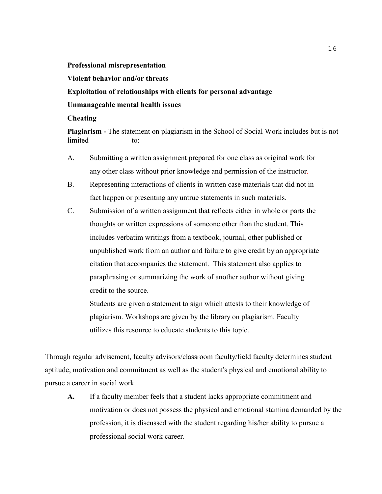## **Professional misrepresentation**

# **Violent behavior and/or threats**

**Exploitation of relationships with clients for personal advantage**

## **Unmanageable mental health issues**

## **Cheating**

**Plagiarism -** The statement on plagiarism in the School of Social Work includes but is not limited to:

- A. Submitting a written assignment prepared for one class as original work for any other class without prior knowledge and permission of the instructor.
- B. Representing interactions of clients in written case materials that did not in fact happen or presenting any untrue statements in such materials.
- C. Submission of a written assignment that reflects either in whole or parts the thoughts or written expressions of someone other than the student. This includes verbatim writings from a textbook, journal, other published or unpublished work from an author and failure to give credit by an appropriate citation that accompanies the statement. This statement also applies to paraphrasing or summarizing the work of another author without giving credit to the source.

Students are given a statement to sign which attests to their knowledge of plagiarism. Workshops are given by the library on plagiarism. Faculty utilizes this resource to educate students to this topic.

Through regular advisement, faculty advisors/classroom faculty/field faculty determines student aptitude, motivation and commitment as well as the student's physical and emotional ability to pursue a career in social work.

**A.** If a faculty member feels that a student lacks appropriate commitment and motivation or does not possess the physical and emotional stamina demanded by the profession, it is discussed with the student regarding his/her ability to pursue a professional social work career.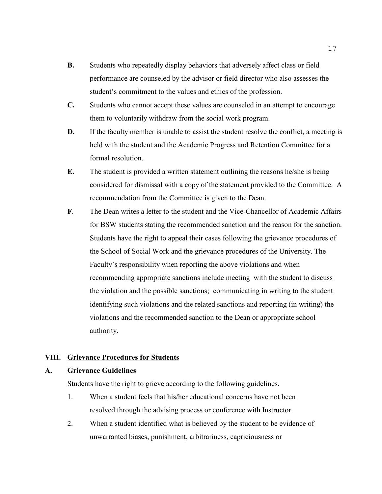- **B.** Students who repeatedly display behaviors that adversely affect class or field performance are counseled by the advisor or field director who also assesses the student's commitment to the values and ethics of the profession.
- **C.** Students who cannot accept these values are counseled in an attempt to encourage them to voluntarily withdraw from the social work program.
- **D.** If the faculty member is unable to assist the student resolve the conflict, a meeting is held with the student and the Academic Progress and Retention Committee for a formal resolution.
- **E.** The student is provided a written statement outlining the reasons he/she is being considered for dismissal with a copy of the statement provided to the Committee. A recommendation from the Committee is given to the Dean.
- **F**. The Dean writes a letter to the student and the Vice-Chancellor of Academic Affairs for BSW students stating the recommended sanction and the reason for the sanction. Students have the right to appeal their cases following the grievance procedures of the School of Social Work and the grievance procedures of the University. The Faculty's responsibility when reporting the above violations and when recommending appropriate sanctions include meeting with the student to discuss the violation and the possible sanctions; communicating in writing to the student identifying such violations and the related sanctions and reporting (in writing) the violations and the recommended sanction to the Dean or appropriate school authority.

# **VIII. Grievance Procedures for Students**

# **A. Grievance Guidelines**

Students have the right to grieve according to the following guidelines.

- 1. When a student feels that his/her educational concerns have not been resolved through the advising process or conference with Instructor.
- 2. When a student identified what is believed by the student to be evidence of unwarranted biases, punishment, arbitrariness, capriciousness or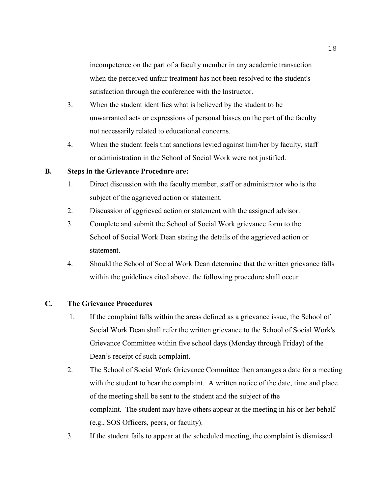incompetence on the part of a faculty member in any academic transaction when the perceived unfair treatment has not been resolved to the student's satisfaction through the conference with the Instructor.

- 3. When the student identifies what is believed by the student to be unwarranted acts or expressions of personal biases on the part of the faculty not necessarily related to educational concerns.
- 4. When the student feels that sanctions levied against him/her by faculty, staff or administration in the School of Social Work were not justified.

# **B. Steps in the Grievance Procedure are:**

- 1. Direct discussion with the faculty member, staff or administrator who is the subject of the aggrieved action or statement.
- 2. Discussion of aggrieved action or statement with the assigned advisor.
- 3. Complete and submit the School of Social Work grievance form to the School of Social Work Dean stating the details of the aggrieved action or statement.
- 4. Should the School of Social Work Dean determine that the written grievance falls within the guidelines cited above, the following procedure shall occur

# **C. The Grievance Procedures**

- 1. If the complaint falls within the areas defined as a grievance issue, the School of Social Work Dean shall refer the written grievance to the School of Social Work's Grievance Committee within five school days (Monday through Friday) of the Dean's receipt of such complaint.
- 2. The School of Social Work Grievance Committee then arranges a date for a meeting with the student to hear the complaint. A written notice of the date, time and place of the meeting shall be sent to the student and the subject of the complaint. The student may have others appear at the meeting in his or her behalf (e.g., SOS Officers, peers, or faculty).
- 3. If the student fails to appear at the scheduled meeting, the complaint is dismissed.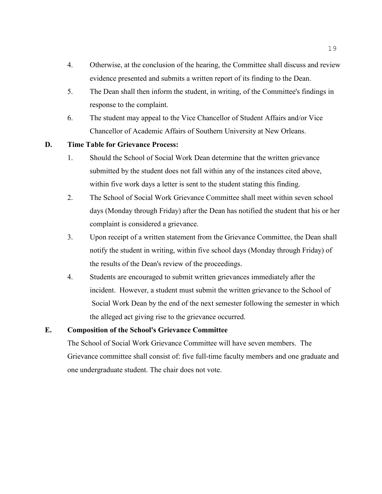- 4. Otherwise, at the conclusion of the hearing, the Committee shall discuss and review evidence presented and submits a written report of its finding to the Dean.
- 5. The Dean shall then inform the student, in writing, of the Committee's findings in response to the complaint.
- 6. The student may appeal to the Vice Chancellor of Student Affairs and/or Vice Chancellor of Academic Affairs of Southern University at New Orleans.

# **D. Time Table for Grievance Process:**

- 1. Should the School of Social Work Dean determine that the written grievance submitted by the student does not fall within any of the instances cited above, within five work days a letter is sent to the student stating this finding.
- 2. The School of Social Work Grievance Committee shall meet within seven school days (Monday through Friday) after the Dean has notified the student that his or her complaint is considered a grievance.
- 3. Upon receipt of a written statement from the Grievance Committee, the Dean shall notify the student in writing, within five school days (Monday through Friday) of the results of the Dean's review of the proceedings.
- 4. Students are encouraged to submit written grievances immediately after the incident. However, a student must submit the written grievance to the School of Social Work Dean by the end of the next semester following the semester in which the alleged act giving rise to the grievance occurred.

# **E. Composition of the School's Grievance Committee**

The School of Social Work Grievance Committee will have seven members. The Grievance committee shall consist of: five full-time faculty members and one graduate and one undergraduate student. The chair does not vote.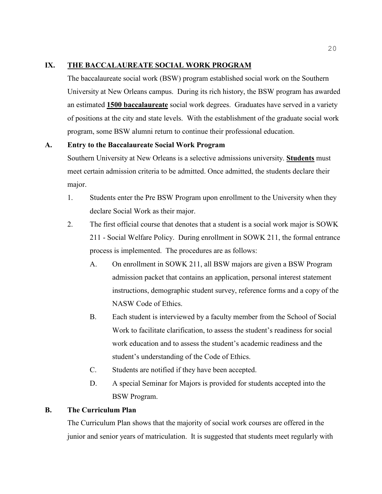# **IX. THE BACCALAUREATE SOCIAL WORK PROGRAM**

The baccalaureate social work (BSW) program established social work on the Southern University at New Orleans campus. During its rich history, the BSW program has awarded an estimated **1500 baccalaureate** social work degrees. Graduates have served in a variety of positions at the city and state levels. With the establishment of the graduate social work program, some BSW alumni return to continue their professional education.

# **A. Entry to the Baccalaureate Social Work Program**

Southern University at New Orleans is a selective admissions university. **Students** must meet certain admission criteria to be admitted. Once admitted, the students declare their major.

- 1. Students enter the Pre BSW Program upon enrollment to the University when they declare Social Work as their major.
- 2. The first official course that denotes that a student is a social work major is SOWK 211 - Social Welfare Policy. During enrollment in SOWK 211, the formal entrance process is implemented. The procedures are as follows:
	- A. On enrollment in SOWK 211, all BSW majors are given a BSW Program admission packet that contains an application, personal interest statement instructions, demographic student survey, reference forms and a copy of the NASW Code of Ethics.
	- B. Each student is interviewed by a faculty member from the School of Social Work to facilitate clarification, to assess the student's readiness for social work education and to assess the student's academic readiness and the student's understanding of the Code of Ethics.
	- C. Students are notified if they have been accepted.
	- D. A special Seminar for Majors is provided for students accepted into the BSW Program.

# **B. The Curriculum Plan**

The Curriculum Plan shows that the majority of social work courses are offered in the junior and senior years of matriculation. It is suggested that students meet regularly with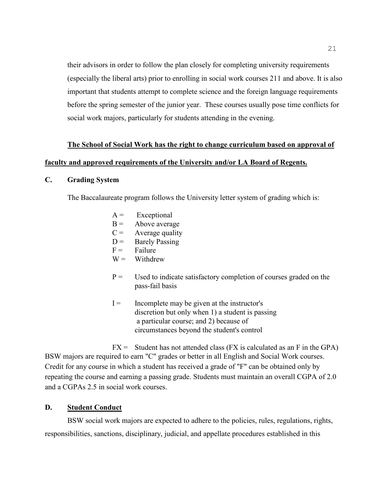their advisors in order to follow the plan closely for completing university requirements (especially the liberal arts) prior to enrolling in social work courses 211 and above. It is also important that students attempt to complete science and the foreign language requirements before the spring semester of the junior year. These courses usually pose time conflicts for social work majors, particularly for students attending in the evening.

# **The School of Social Work has the right to change curriculum based on approval of**

# **faculty and approved requirements of the University and/or LA Board of Regents.**

# **C. Grading System**

The Baccalaureate program follows the University letter system of grading which is:

- $A =$  Exceptional
- $B =$  Above average
- $C =$  Average quality
- $D =$  Barely Passing
- $F =$  Failure
- $W =$  Withdrew
- $P =$  Used to indicate satisfactory completion of courses graded on the pass-fail basis
- $I =$  Incomplete may be given at the instructor's discretion but only when 1) a student is passing a particular course; and 2) because of circumstances beyond the student's control

 $FX =$  Student has not attended class (FX is calculated as an F in the GPA) BSW majors are required to earn "C" grades or better in all English and Social Work courses. Credit for any course in which a student has received a grade of "F" can be obtained only by repeating the course and earning a passing grade. Students must maintain an overall CGPA of 2.0 and a CGPAs 2.5 in social work courses.

### **D. Student Conduct**

BSW social work majors are expected to adhere to the policies, rules, regulations, rights, responsibilities, sanctions, disciplinary, judicial, and appellate procedures established in this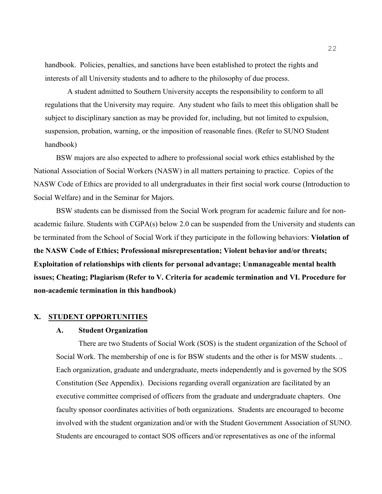handbook. Policies, penalties, and sanctions have been established to protect the rights and interests of all University students and to adhere to the philosophy of due process.

A student admitted to Southern University accepts the responsibility to conform to all regulations that the University may require. Any student who fails to meet this obligation shall be subject to disciplinary sanction as may be provided for, including, but not limited to expulsion, suspension, probation, warning, or the imposition of reasonable fines. (Refer to SUNO Student handbook)

BSW majors are also expected to adhere to professional social work ethics established by the National Association of Social Workers (NASW) in all matters pertaining to practice. Copies of the NASW Code of Ethics are provided to all undergraduates in their first social work course (Introduction to Social Welfare) and in the Seminar for Majors.

BSW students can be dismissed from the Social Work program for academic failure and for nonacademic failure. Students with CGPA(s) below 2.0 can be suspended from the University and students can be terminated from the School of Social Work if they participate in the following behaviors: **Violation of the NASW Code of Ethics; Professional misrepresentation; Violent behavior and/or threats; Exploitation of relationships with clients for personal advantage; Unmanageable mental health issues; Cheating; Plagiarism (Refer to V. Criteria for academic termination and VI. Procedure for non-academic termination in this handbook)**

#### **X. STUDENT OPPORTUNITIES**

#### **A. Student Organization**

There are two Students of Social Work (SOS) is the student organization of the School of Social Work. The membership of one is for BSW students and the other is for MSW students. .. Each organization, graduate and undergraduate, meets independently and is governed by the SOS Constitution (See Appendix). Decisions regarding overall organization are facilitated by an executive committee comprised of officers from the graduate and undergraduate chapters. One faculty sponsor coordinates activities of both organizations. Students are encouraged to become involved with the student organization and/or with the Student Government Association of SUNO. Students are encouraged to contact SOS officers and/or representatives as one of the informal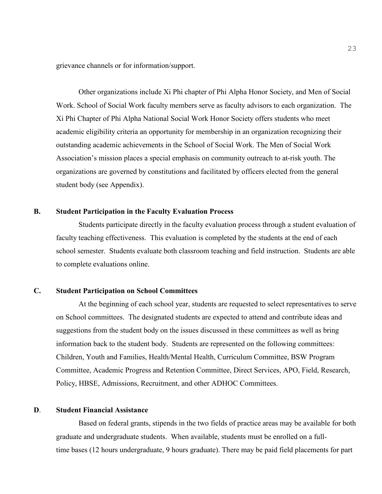grievance channels or for information/support.

Other organizations include Xi Phi chapter of Phi Alpha Honor Society, and Men of Social Work. School of Social Work faculty members serve as faculty advisors to each organization. The Xi Phi Chapter of Phi Alpha National Social Work Honor Society offers students who meet academic eligibility criteria an opportunity for membership in an organization recognizing their outstanding academic achievements in the School of Social Work. The Men of Social Work Association's mission places a special emphasis on community outreach to at-risk youth. The organizations are governed by constitutions and facilitated by officers elected from the general student body (see Appendix).

#### **B. Student Participation in the Faculty Evaluation Process**

Students participate directly in the faculty evaluation process through a student evaluation of faculty teaching effectiveness. This evaluation is completed by the students at the end of each school semester. Students evaluate both classroom teaching and field instruction. Students are able to complete evaluations online.

#### **C. Student Participation on School Committees**

At the beginning of each school year, students are requested to select representatives to serve on School committees. The designated students are expected to attend and contribute ideas and suggestions from the student body on the issues discussed in these committees as well as bring information back to the student body. Students are represented on the following committees: Children, Youth and Families, Health/Mental Health, Curriculum Committee, BSW Program Committee, Academic Progress and Retention Committee, Direct Services, APO, Field, Research, Policy, HBSE, Admissions, Recruitment, and other ADHOC Committees.

#### **D**. **Student Financial Assistance**

Based on federal grants, stipends in the two fields of practice areas may be available for both graduate and undergraduate students. When available, students must be enrolled on a fulltime bases (12 hours undergraduate, 9 hours graduate). There may be paid field placements for part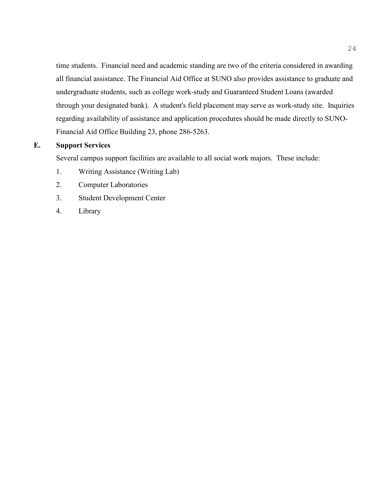time students. Financial need and academic standing are two of the criteria considered in awarding all financial assistance. The Financial Aid Office at SUNO also provides assistance to graduate and undergraduate students, such as college work-study and Guaranteed Student Loans (awarded through your designated bank). A student's field placement may serve as work-study site. Inquiries regarding availability of assistance and application procedures should be made directly to SUNO-Financial Aid Office Building 23, phone 286-5263.

# **E. Support Services**

Several campus support facilities are available to all social work majors. These include:

- 1. Writing Assistance (Writing Lab)
- 2. Computer Laboratories
- 3. Student Development Center
- 4. Library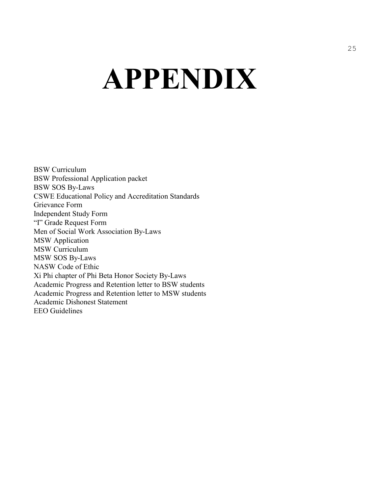# **APPENDIX**

BSW Curriculum BSW Professional Application packet BSW SOS By-Laws CSWE Educational Policy and Accreditation Standards Grievance Form Independent Study Form "I" Grade Request Form Men of Social Work Association By-Laws MSW Application MSW Curriculum MSW SOS By-Laws NASW Code of Ethic Xi Phi chapter of Phi Beta Honor Society By-Laws Academic Progress and Retention letter to BSW students Academic Progress and Retention letter to MSW students Academic Dishonest Statement EEO Guidelines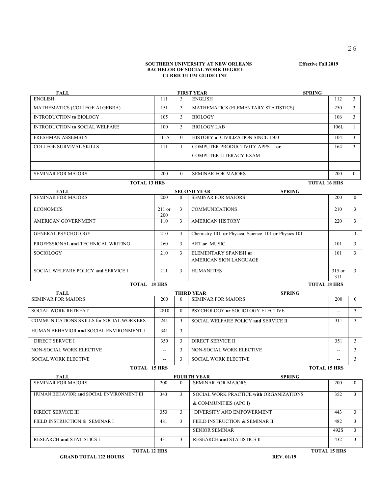#### **SOUTHERN UNIVERSITY AT NEW ORLEANS Effective Fall 2019 BACHELOR OF SOCIAL WORK DEGREE CURRICULUM GUIDELINE**

| <b>FALL</b>                           |                 | <b>FIRST YEAR</b><br><b>SPRING</b> |                                     |      |               |
|---------------------------------------|-----------------|------------------------------------|-------------------------------------|------|---------------|
| <b>ENGLISH</b>                        | 111             | 3                                  | <b>ENGLISH</b>                      | 112  | 3             |
| MATHEMATICS (COLLEGE ALGEBRA)         | 151             | 3                                  | MATHEMATICS (ELEMENTARY STATISTICS) | 250  | 3             |
| <b>INTRODUCTION to BIOLOGY</b>        | 105             | 3                                  | <b>BIOLOGY</b>                      | 106  | 3             |
| <b>INTRODUCTION to SOCIAL WELFARE</b> | 100             | 3                                  | <b>BIOLOGY LAB</b>                  | 106L |               |
| <b>FRESHMAN ASSEMBLY</b>              | 111A            | $\theta$                           | HISTORY of CIVILIZATION SINCE 1500  | 104  | 3             |
| <b>COLLEGE SURVIVAL SKILLS</b>        | 111             |                                    | COMPUTER PRODUCTIVITY APPS. I or    | 164  | $\mathcal{E}$ |
|                                       |                 |                                    | <b>COMPUTER LITERACY EXAM</b>       |      |               |
|                                       |                 |                                    |                                     |      |               |
| <b>SEMINAR FOR MAJORS</b>             | 200             | $\theta$                           | <b>SEMINAR FOR MAJORS</b>           | 200  | $\Omega$      |
| <b>TOTAL 13 HRS</b>                   |                 |                                    | <b>TOTAL 16 HRS</b>                 |      |               |
| <b>FALL</b><br><b>SECOND YEAR</b>     |                 |                                    | <b>SPRING</b>                       |      |               |
| <b>SEMINAR FOR MAJORS</b>             | 200             | $\Omega$                           | <b>SEMINAR FOR MAJORS</b>           | 200  | $\Omega$      |
| <b>ECONOMICS</b>                      | $211$ or<br>200 | 3                                  | <b>COMMUNICATIONS</b>               | 210  | 3             |

| <b>THAT THE</b>                     |     |   | $\sim$ m m m m $\sim$                                |        |  |
|-------------------------------------|-----|---|------------------------------------------------------|--------|--|
| <b>TOTAL 18 HRS</b>                 |     |   | <b>TOTAL 18 HRS</b>                                  |        |  |
|                                     |     |   |                                                      | 311    |  |
| SOCIAL WELFARE POLICY and SERVICE I | 211 | 3 | <b>HUMANITIES</b>                                    | 315 or |  |
|                                     |     |   | AMERICAN SIGN LANGUAGE                               |        |  |
| <b>SOCIOLOGY</b>                    | 210 | 3 | ELEMENTARY SPANISH or                                | 101    |  |
| PROFESSIONAL and TECHNICAL WRITING  | 260 | 3 | ART or MUSIC                                         | 101    |  |
|                                     |     |   |                                                      |        |  |
| <b>GENERAL PSYCHOLOGY</b>           | 210 |   | Chemistry 101 or Physical Science 101 or Physics 101 |        |  |
| AMERICAN GOVERNMENT                 | 110 | 3 | <b>AMERICAN HISTORY</b>                              | 220    |  |
|                                     |     |   |                                                      |        |  |

| <b>FALL</b>                                |      |          | <b>SPRING</b><br><b>THIRD YEAR</b>   |     |  |
|--------------------------------------------|------|----------|--------------------------------------|-----|--|
| <b>SEMINAR FOR MAJORS</b>                  | 200  | $\left($ | <b>SEMINAR FOR MAJORS</b>            | 200 |  |
|                                            |      |          |                                      |     |  |
| SOCIAL WORK RETREAT                        | 2810 | $\theta$ | PSYCHOLOGY or SOCIOLOGY ELECTIVE     | --  |  |
|                                            |      |          |                                      |     |  |
| COMMUNICATIONS SKILLS for SOCIAL WORKERS   | 241  | 3        | SOCIAL WELFARE POLICY and SERVICE II | 311 |  |
|                                            |      |          |                                      |     |  |
| HUMAN BEHAVIOR and SOCIAL ENVIRONMENT I    | 341  | 3        |                                      |     |  |
|                                            |      |          |                                      |     |  |
| DIRECT SERVCE I                            | 350  | 3        | DIRECT SERVICE II                    | 351 |  |
|                                            |      |          |                                      |     |  |
| NON-SOCIAL WORK ELECTIVE                   | --   | 3        | NON-SOCIAL WORK ELECTIVE             | --  |  |
|                                            |      |          |                                      |     |  |
| <b>SOCIAL WORK ELECTIVE</b>                |      | 3        | <b>SOCIAL WORK ELECTIVE</b>          |     |  |
|                                            |      |          |                                      |     |  |
| <b>TOTAL 15 HRS</b><br><b>TOTAL 15 HRS</b> |      |          |                                      |     |  |

| <b>FALL</b>                               |     |          | <b>SPRING</b><br><b>FOURTH YEAR</b>                              |                     |               |
|-------------------------------------------|-----|----------|------------------------------------------------------------------|---------------------|---------------|
| <b>SEMINAR FOR MAJORS</b>                 | 200 | $\theta$ | <b>SEMINAR FOR MAJORS</b>                                        | 200                 | 0             |
| HUMAN BEHAVIOR and SOCIAL ENVIRONMENT III | 343 | 3        | SOCIAL WORK PRACTICE with ORGANIZATIONS<br>& COMMUNITIES (APO I) | 352                 |               |
| DIRECT SERVICE III                        | 353 | 3        | DIVERSITY AND EMPOWERMENT                                        | 443                 | C             |
| FIELD INSTRUCTION & SEMINAR I             | 481 | 3        | FIELD INSTRUCTION & SEMINAR II                                   | 482                 | 3             |
|                                           |     |          | <b>SENIOR SEMINAR</b>                                            | 492S                |               |
| <b>RESEARCH and STATISTICS I</b>          | 431 | 3        | <b>RESEARCH and STATISTICS II</b>                                | 432                 | $\rightarrow$ |
| <b>TOTAL 12 HRS</b>                       |     |          |                                                                  | <b>TOTAL 15 HRS</b> |               |
| <b>GRAND TOTAL 122 HOURS</b>              |     |          | <b>REV. 01/19</b>                                                |                     |               |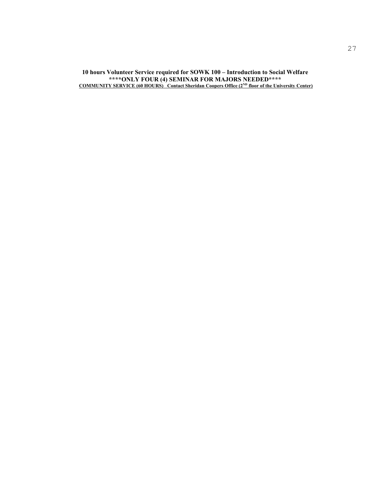**10 hours Volunteer Service required for SOWK 100 – Introduction to Social Welfare \*\*\*\*ONLY FOUR (4) SEMINAR FOR MAJORS NEEDED\*\*\*\* COMMUNITY SERVICE (60 HOURS)** Contact Sheridan Coopers Office (2<sup>ND</sup> floor of the University Center)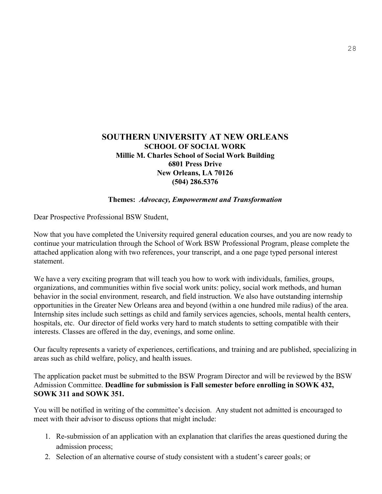# **SOUTHERN UNIVERSITY AT NEW ORLEANS SCHOOL OF SOCIAL WORK Millie M. Charles School of Social Work Building 6801 Press Drive New Orleans, LA 70126 (504) 286.5376**

# **Themes:** *Advocacy, Empowerment and Transformation*

Dear Prospective Professional BSW Student,

Now that you have completed the University required general education courses, and you are now ready to continue your matriculation through the School of Work BSW Professional Program, please complete the attached application along with two references, your transcript, and a one page typed personal interest statement.

We have a very exciting program that will teach you how to work with individuals, families, groups, organizations, and communities within five social work units: policy, social work methods, and human behavior in the social environment*,* research, and field instruction. We also have outstanding internship opportunities in the Greater New Orleans area and beyond (within a one hundred mile radius) of the area. Internship sites include such settings as child and family services agencies, schools, mental health centers, hospitals, etc. Our director of field works very hard to match students to setting compatible with their interests. Classes are offered in the day, evenings, and some online.

Our faculty represents a variety of experiences, certifications, and training and are published, specializing in areas such as child welfare, policy, and health issues.

The application packet must be submitted to the BSW Program Director and will be reviewed by the BSW Admission Committee. **Deadline for submission is Fall semester before enrolling in SOWK 432, SOWK 311 and SOWK 351.** 

You will be notified in writing of the committee's decision. Any student not admitted is encouraged to meet with their advisor to discuss options that might include:

- 1. Re-submission of an application with an explanation that clarifies the areas questioned during the admission process;
- 2. Selection of an alternative course of study consistent with a student's career goals; or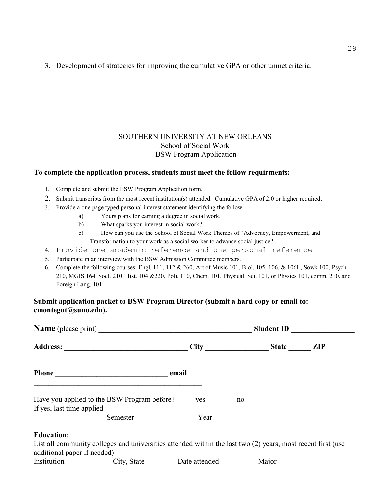3. Development of strategies for improving the cumulative GPA or other unmet criteria.

# SOUTHERN UNIVERSITY AT NEW ORLEANS School of Social Work BSW Program Application

# **To complete the application process, students must meet the follow requirments:**

- 1. Complete and submit the BSW Program Application form.
- 2. Submit transcripts from the most recent institution(s) attended. Cumulative GPA of 2.0 or higher required.
- 3. Provide a one page typed personal interest statement identifying the follow:
	- a) Yours plans for earning a degree in social work.
	- b) What sparks you interest in social work?
	- c) How can you use the School of Social Work Themes of "Advocacy, Empowerment, and Transformation to your work as a social worker to advance social justice?
- 4. Provide one academic reference and one personal reference.
- 5. Participate in an interview with the BSW Admission Committee members.
- 6. Complete the following courses: Engl. 111, 112 & 260, Art of Music 101, Biol. 105, 106, & 106L, Sowk 100, Psych. 210, MGIS 164, Socl. 210. Hist. 104 &220, Poli. 110, Chem. 101, Physical. Sci. 101, or Physics 101, comm. 210, and Foreign Lang. 101.

# **Submit application packet to BSW Program Director (submit a hard copy or email to: cmontegut@suno.edu).**

| Name (please print)                                                                                                                     |      | <b>Student ID</b> |            |
|-----------------------------------------------------------------------------------------------------------------------------------------|------|-------------------|------------|
| <b>Address:</b><br><u> 1980 - Jan Stein Stein Stein Stein Stein Stein Stein Stein Stein Stein Stein Stein Stein Stein Stein Stein S</u> |      | <b>State</b>      | <b>ZIP</b> |
| Phone <u>_________________</u><br>email                                                                                                 |      |                   |            |
| Have you applied to the BSW Program before? yes                                                                                         |      | no                |            |
| Semester                                                                                                                                | Year |                   |            |

# **Education:**

List all community colleges and universities attended within the last two (2) years, most recent first (use additional paper if needed) Institution City, State Date attended Major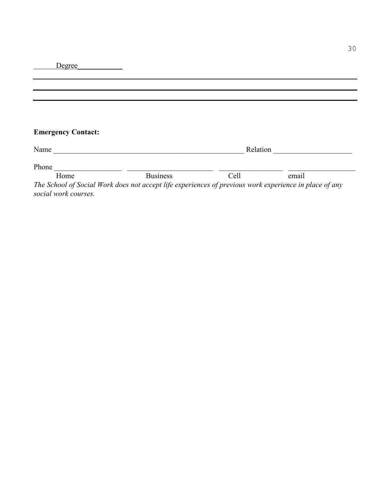| Degree                    |                                                                                                        |          |       |
|---------------------------|--------------------------------------------------------------------------------------------------------|----------|-------|
|                           |                                                                                                        |          |       |
|                           |                                                                                                        |          |       |
|                           |                                                                                                        |          |       |
|                           |                                                                                                        |          |       |
|                           |                                                                                                        |          |       |
|                           |                                                                                                        |          |       |
| <b>Emergency Contact:</b> |                                                                                                        |          |       |
| Name                      |                                                                                                        | Relation |       |
|                           |                                                                                                        |          |       |
| Phone                     |                                                                                                        |          |       |
| Home                      | <b>Business</b>                                                                                        | Cell     | email |
|                           | The School of Social Work does not accept life experiences of previous work experience in place of any |          |       |
| social work courses.      |                                                                                                        |          |       |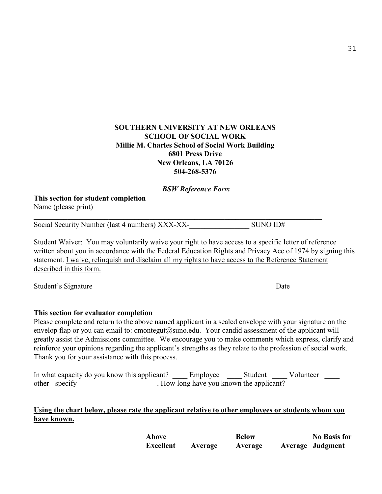# **SOUTHERN UNIVERSITY AT NEW ORLEANS SCHOOL OF SOCIAL WORK Millie M. Charles School of Social Work Building 6801 Press Drive New Orleans, LA 70126 504-268-5376**

### *BSW Reference Form*

## **This section for student completion**

\_\_\_\_\_\_\_\_\_\_\_\_\_\_\_\_\_\_\_\_\_\_\_\_\_\_

\_\_\_\_\_\_\_\_\_\_\_\_\_\_\_\_\_\_\_\_\_\_\_\_\_

Name (please print)

| Social Security Number (last 4 numbers) XXX-XX- |  | SUNO ID# |
|-------------------------------------------------|--|----------|
|                                                 |  |          |

\_\_\_\_\_\_\_\_\_\_\_\_\_\_\_\_\_\_\_\_\_\_\_\_\_\_\_\_\_\_\_\_\_\_\_\_\_\_\_\_\_\_\_\_\_\_\_\_\_\_\_\_\_\_\_\_\_\_\_\_\_\_\_\_\_\_\_\_\_\_\_\_\_\_\_\_\_

Student Waiver: You may voluntarily waive your right to have access to a specific letter of reference written about you in accordance with the Federal Education Rights and Privacy Ace of 1974 by signing this statement. I waive, relinquish and disclaim all my rights to have access to the Reference Statement described in this form.

Student's Signature **Date**  $\overline{\phantom{a}}$ 

## **This section for evaluator completion**

Please complete and return to the above named applicant in a sealed envelope with your signature on the envelop flap or you can email to: cmontegut@suno.edu. Your candid assessment of the applicant will greatly assist the Admissions committee. We encourage you to make comments which express, clarify and reinforce your opinions regarding the applicant's strengths as they relate to the profession of social work. Thank you for your assistance with this process.

| In what capacity do you know this applicant? Employee |                                          | Student | Volunteer |  |
|-------------------------------------------------------|------------------------------------------|---------|-----------|--|
| other - specify                                       | . How long have you known the applicant? |         |           |  |

# **Using the chart below, please rate the applicant relative to other employees or students whom you have known.**

**Above Below No Basis for Excellent Average Average Average Judgment**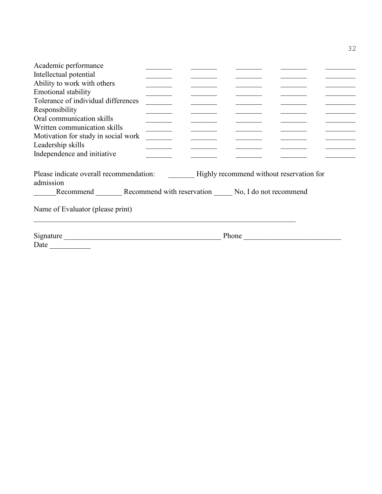| Academic performance                                        |                                                                    |  |  |  |  |  |  |  |  |
|-------------------------------------------------------------|--------------------------------------------------------------------|--|--|--|--|--|--|--|--|
| Intellectual potential                                      |                                                                    |  |  |  |  |  |  |  |  |
| Ability to work with others                                 |                                                                    |  |  |  |  |  |  |  |  |
| <b>Emotional stability</b>                                  |                                                                    |  |  |  |  |  |  |  |  |
| Tolerance of individual differences                         |                                                                    |  |  |  |  |  |  |  |  |
| Responsibility                                              |                                                                    |  |  |  |  |  |  |  |  |
| Oral communication skills                                   |                                                                    |  |  |  |  |  |  |  |  |
| Written communication skills                                |                                                                    |  |  |  |  |  |  |  |  |
| Motivation for study in social work                         |                                                                    |  |  |  |  |  |  |  |  |
| Leadership skills                                           |                                                                    |  |  |  |  |  |  |  |  |
| Independence and initiative                                 |                                                                    |  |  |  |  |  |  |  |  |
|                                                             |                                                                    |  |  |  |  |  |  |  |  |
| Please indicate overall recommendation:<br>admission        | Highly recommend without reservation for                           |  |  |  |  |  |  |  |  |
| Recommend Recommend with reservation No, I do not recommend |                                                                    |  |  |  |  |  |  |  |  |
| Name of Evaluator (please print)                            |                                                                    |  |  |  |  |  |  |  |  |
| Signature                                                   | Phone<br><u> 1980 - Andrea Station Books, amerikansk politik (</u> |  |  |  |  |  |  |  |  |
| Date                                                        |                                                                    |  |  |  |  |  |  |  |  |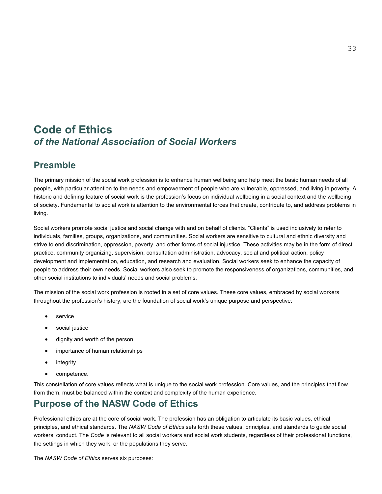# **Code of Ethics** *of the National Association of Social Workers*

# **Preamble**

The primary mission of the social work profession is to enhance human wellbeing and help meet the basic human needs of all people, with particular attention to the needs and empowerment of people who are vulnerable, oppressed, and living in poverty. A historic and defining feature of social work is the profession's focus on individual wellbeing in a social context and the wellbeing of society. Fundamental to social work is attention to the environmental forces that create, contribute to, and address problems in living.

Social workers promote social justice and social change with and on behalf of clients. "Clients" is used inclusively to refer to individuals, families, groups, organizations, and communities. Social workers are sensitive to cultural and ethnic diversity and strive to end discrimination, oppression, poverty, and other forms of social injustice. These activities may be in the form of direct practice, community organizing, supervision, consultation administration, advocacy, social and political action, policy development and implementation, education, and research and evaluation. Social workers seek to enhance the capacity of people to address their own needs. Social workers also seek to promote the responsiveness of organizations, communities, and other social institutions to individuals' needs and social problems.

The mission of the social work profession is rooted in a set of core values. These core values, embraced by social workers throughout the profession's history, are the foundation of social work's unique purpose and perspective:

- service
- social justice
- dignity and worth of the person
- importance of human relationships
- **integrity**
- competence.

This constellation of core values reflects what is unique to the social work profession. Core values, and the principles that flow from them, must be balanced within the context and complexity of the human experience.

# **Purpose of the NASW Code of Ethics**

Professional ethics are at the core of social work. The profession has an obligation to articulate its basic values, ethical principles, and ethical standards. The *NASW Code of Ethics* sets forth these values, principles, and standards to guide social workers' conduct. The *Code* is relevant to all social workers and social work students, regardless of their professional functions, the settings in which they work, or the populations they serve.

The *NASW Code of Ethics* serves six purposes: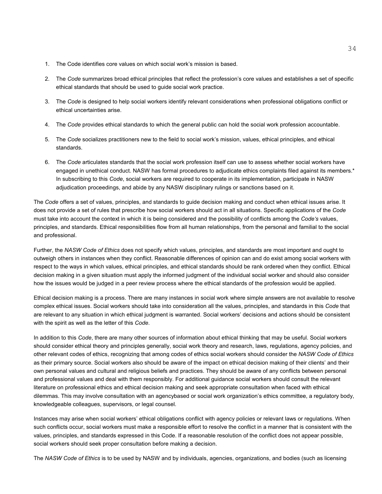- 1. The Code identifies core values on which social work's mission is based.
- 2. The *Code* summarizes broad ethical principles that reflect the profession's core values and establishes a set of specific ethical standards that should be used to guide social work practice.
- 3. The *Code* is designed to help social workers identify relevant considerations when professional obligations conflict or ethical uncertainties arise.
- 4. The *Code* provides ethical standards to which the general public can hold the social work profession accountable.
- 5. The *Code* socializes practitioners new to the field to social work's mission, values, ethical principles, and ethical standards.
- 6. The *Code* articulates standards that the social work profession itself can use to assess whether social workers have engaged in unethical conduct. NASW has formal procedures to adjudicate ethics complaints filed against its members.\* In subscribing to this *Code*, social workers are required to cooperate in its implementation, participate in NASW adjudication proceedings, and abide by any NASW disciplinary rulings or sanctions based on it.

The *Code* offers a set of values, principles, and standards to guide decision making and conduct when ethical issues arise. It does not provide a set of rules that prescribe how social workers should act in all situations. Specific applications of the *Code*  must take into account the context in which it is being considered and the possibility of conflicts among the *Code's* values, principles, and standards. Ethical responsibilities flow from all human relationships, from the personal and familial to the social and professional.

Further, the *NASW Code of Ethics* does not specify which values, principles, and standards are most important and ought to outweigh others in instances when they conflict. Reasonable differences of opinion can and do exist among social workers with respect to the ways in which values, ethical principles, and ethical standards should be rank ordered when they conflict. Ethical decision making in a given situation must apply the informed judgment of the individual social worker and should also consider how the issues would be judged in a peer review process where the ethical standards of the profession would be applied.

Ethical decision making is a process. There are many instances in social work where simple answers are not available to resolve complex ethical issues. Social workers should take into consideration all the values, principles, and standards in this *Code* that are relevant to any situation in which ethical judgment is warranted. Social workers' decisions and actions should be consistent with the spirit as well as the letter of this *Code*.

In addition to this *Code*, there are many other sources of information about ethical thinking that may be useful. Social workers should consider ethical theory and principles generally, social work theory and research, laws, regulations, agency policies, and other relevant codes of ethics, recognizing that among codes of ethics social workers should consider the *NASW Code of Ethics*  as their primary source. Social workers also should be aware of the impact on ethical decision making of their clients' and their own personal values and cultural and religious beliefs and practices. They should be aware of any conflicts between personal and professional values and deal with them responsibly. For additional guidance social workers should consult the relevant literature on professional ethics and ethical decision making and seek appropriate consultation when faced with ethical dilemmas. This may involve consultation with an agencybased or social work organization's ethics committee, a regulatory body, knowledgeable colleagues, supervisors, or legal counsel.

Instances may arise when social workers' ethical obligations conflict with agency policies or relevant laws or regulations. When such conflicts occur, social workers must make a responsible effort to resolve the conflict in a manner that is consistent with the values, principles, and standards expressed in this Code. If a reasonable resolution of the conflict does not appear possible, social workers should seek proper consultation before making a decision.

The *NASW Code of Ethics* is to be used by NASW and by individuals, agencies, organizations, and bodies (such as licensing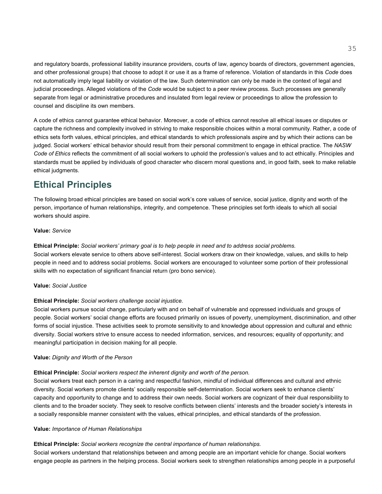and regulatory boards, professional liability insurance providers, courts of law, agency boards of directors, government agencies, and other professional groups) that choose to adopt it or use it as a frame of reference. Violation of standards in this *Code* does not automatically imply legal liability or violation of the law. Such determination can only be made in the context of legal and judicial proceedings. Alleged violations of the *Code* would be subject to a peer review process. Such processes are generally separate from legal or administrative procedures and insulated from legal review or proceedings to allow the profession to counsel and discipline its own members.

A code of ethics cannot guarantee ethical behavior. Moreover, a code of ethics cannot resolve all ethical issues or disputes or capture the richness and complexity involved in striving to make responsible choices within a moral community. Rather, a code of ethics sets forth values, ethical principles, and ethical standards to which professionals aspire and by which their actions can be judged. Social workers' ethical behavior should result from their personal commitment to engage in ethical practice. The *NASW Code of Ethics* reflects the commitment of all social workers to uphold the profession's values and to act ethically. Principles and standards must be applied by individuals of good character who discern moral questions and, in good faith, seek to make reliable ethical judgments.

# **Ethical Principles**

The following broad ethical principles are based on social work's core values of service, social justice, dignity and worth of the person, importance of human relationships, integrity, and competence. These principles set forth ideals to which all social workers should aspire.

#### **Value:** *Service*

**Ethical Principle:** *Social workers' primary goal is to help people in need and to address social problems.* 

Social workers elevate service to others above self-interest. Social workers draw on their knowledge, values, and skills to help people in need and to address social problems. Social workers are encouraged to volunteer some portion of their professional skills with no expectation of significant financial return (pro bono service).

#### **Value:** *Social Justice*

#### **Ethical Principle:** *Social workers challenge social injustice.*

Social workers pursue social change, particularly with and on behalf of vulnerable and oppressed individuals and groups of people. Social workers' social change efforts are focused primarily on issues of poverty, unemployment, discrimination, and other forms of social injustice. These activities seek to promote sensitivity to and knowledge about oppression and cultural and ethnic diversity. Social workers strive to ensure access to needed information, services, and resources; equality of opportunity; and meaningful participation in decision making for all people.

#### **Value:** *Dignity and Worth of the Person*

#### **Ethical Principle:** *Social workers respect the inherent dignity and worth of the person.*

Social workers treat each person in a caring and respectful fashion, mindful of individual differences and cultural and ethnic diversity. Social workers promote clients' socially responsible self-determination. Social workers seek to enhance clients' capacity and opportunity to change and to address their own needs. Social workers are cognizant of their dual responsibility to clients and to the broader society. They seek to resolve conflicts between clients' interests and the broader society's interests in a socially responsible manner consistent with the values, ethical principles, and ethical standards of the profession.

#### **Value:** *Importance of Human Relationships*

#### **Ethical Principle:** *Social workers recognize the central importance of human relationships.*

Social workers understand that relationships between and among people are an important vehicle for change. Social workers engage people as partners in the helping process. Social workers seek to strengthen relationships among people in a purposeful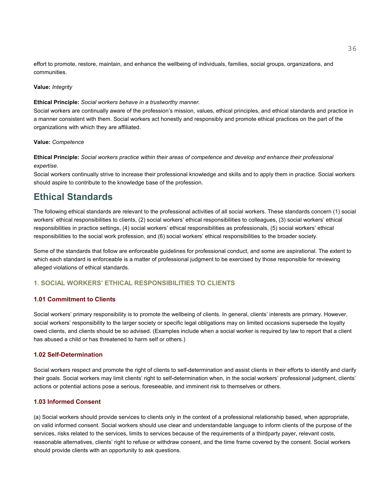effort to promote, restore, maintain, and enhance the wellbeing of individuals, families, social groups, organizations, and communities.

**Value:** *Integrity* 

#### **Ethical Principle:** *Social workers behave in a trustworthy manner.*

Social workers are continually aware of the profession's mission, values, ethical principles, and ethical standards and practice in a manner consistent with them. Social workers act honestly and responsibly and promote ethical practices on the part of the organizations with which they are affiliated.

#### **Value:** *Competence*

**Ethical Principle:** *Social workers practice within their areas of competence and develop and enhance their professional expertise.* 

Social workers continually strive to increase their professional knowledge and skills and to apply them in practice. Social workers should aspire to contribute to the knowledge base of the profession.

# **Ethical Standards**

The following ethical standards are relevant to the professional activities of all social workers. These standards concern (1) social workers' ethical responsibilities to clients, (2) social workers' ethical responsibilities to colleagues, (3) social workers' ethical responsibilities in practice settings, (4) social workers' ethical responsibilities as professionals, (5) social workers' ethical responsibilities to the social work profession, and (6) social workers' ethical responsibilities to the broader society.

Some of the standards that follow are enforceable guidelines for professional conduct, and some are aspirational. The extent to which each standard is enforceable is a matter of professional judgment to be exercised by those responsible for reviewing alleged violations of ethical standards.

#### **1. SOCIAL WORKERS' ETHICAL RESPONSIBILITIES TO CLIENTS**

#### **1.01 Commitment to Clients**

Social workers' primary responsibility is to promote the wellbeing of clients. In general, clients' interests are primary. However, social workers' responsibility to the larger society or specific legal obligations may on limited occasions supersede the loyalty owed clients, and clients should be so advised. (Examples include when a social worker is required by law to report that a client has abused a child or has threatened to harm self or others.)

#### **1.02 Self-Determination**

Social workers respect and promote the right of clients to self-determination and assist clients in their efforts to identify and clarify their goals. Social workers may limit clients' right to self-determination when, in the social workers' professional judgment, clients' actions or potential actions pose a serious, foreseeable, and imminent risk to themselves or others.

#### **1.03 Informed Consent**

(a) Social workers should provide services to clients only in the context of a professional relationship based, when appropriate, on valid informed consent. Social workers should use clear and understandable language to inform clients of the purpose of the services, risks related to the services, limits to services because of the requirements of a thirdparty payer, relevant costs, reasonable alternatives, clients' right to refuse or withdraw consent, and the time frame covered by the consent. Social workers should provide clients with an opportunity to ask questions.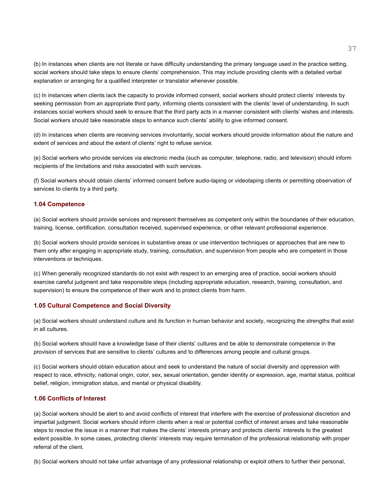(b) In instances when clients are not literate or have difficulty understanding the primary language used in the practice setting, social workers should take steps to ensure clients' comprehension. This may include providing clients with a detailed verbal explanation or arranging for a qualified interpreter or translator whenever possible.

(c) In instances when clients lack the capacity to provide informed consent, social workers should protect clients' interests by seeking permission from an appropriate third party, informing clients consistent with the clients' level of understanding. In such instances social workers should seek to ensure that the third party acts in a manner consistent with clients' wishes and interests. Social workers should take reasonable steps to enhance such clients' ability to give informed consent.

(d) In instances when clients are receiving services involuntarily, social workers should provide information about the nature and extent of services and about the extent of clients' right to refuse service.

(e) Social workers who provide services via electronic media (such as computer, telephone, radio, and television) should inform recipients of the limitations and risks associated with such services.

(f) Social workers should obtain clients' informed consent before audio-taping or videotaping clients or permitting observation of services to clients by a third party.

### **1.04 Competence**

(a) Social workers should provide services and represent themselves as competent only within the boundaries of their education, training, license, certification, consultation received, supervised experience, or other relevant professional experience.

(b) Social workers should provide services in substantive areas or use intervention techniques or approaches that are new to them only after engaging in appropriate study, training, consultation, and supervision from people who are competent in those interventions or techniques.

(c) When generally recognized standards do not exist with respect to an emerging area of practice, social workers should exercise careful judgment and take responsible steps (including appropriate education, research, training, consultation, and supervision) to ensure the competence of their work and to protect clients from harm.

### **1.05 Cultural Competence and Social Diversity**

(a) Social workers should understand culture and its function in human behavior and society, recognizing the strengths that exist in all cultures.

(b) Social workers should have a knowledge base of their clients' cultures and be able to demonstrate competence in the provision of services that are sensitive to clients' cultures and to differences among people and cultural groups.

(c) Social workers should obtain education about and seek to understand the nature of social diversity and oppression with respect to race, ethnicity, national origin, color, sex, sexual orientation, gender identity or expression, age, marital status, political belief, religion, immigration status, and mental or physical disability.

### **1.06 Conflicts of Interest**

(a) Social workers should be alert to and avoid conflicts of interest that interfere with the exercise of professional discretion and impartial judgment. Social workers should inform clients when a real or potential conflict of interest arises and take reasonable steps to resolve the issue in a manner that makes the clients' interests primary and protects clients' interests to the greatest extent possible. In some cases, protecting clients' interests may require termination of the professional relationship with proper referral of the client.

(b) Social workers should not take unfair advantage of any professional relationship or exploit others to further their personal,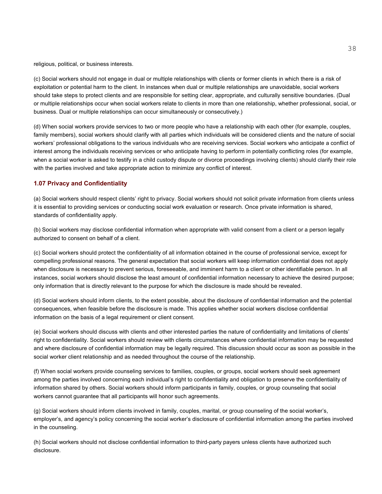religious, political, or business interests.

(c) Social workers should not engage in dual or multiple relationships with clients or former clients in which there is a risk of exploitation or potential harm to the client. In instances when dual or multiple relationships are unavoidable, social workers should take steps to protect clients and are responsible for setting clear, appropriate, and culturally sensitive boundaries. (Dual or multiple relationships occur when social workers relate to clients in more than one relationship, whether professional, social, or business. Dual or multiple relationships can occur simultaneously or consecutively.)

(d) When social workers provide services to two or more people who have a relationship with each other (for example, couples, family members), social workers should clarify with all parties which individuals will be considered clients and the nature of social workers' professional obligations to the various individuals who are receiving services. Social workers who anticipate a conflict of interest among the individuals receiving services or who anticipate having to perform in potentially conflicting roles (for example, when a social worker is asked to testify in a child custody dispute or divorce proceedings involving clients) should clarify their role with the parties involved and take appropriate action to minimize any conflict of interest.

### **1.07 Privacy and Confidentiality**

(a) Social workers should respect clients' right to privacy. Social workers should not solicit private information from clients unless it is essential to providing services or conducting social work evaluation or research. Once private information is shared, standards of confidentiality apply.

(b) Social workers may disclose confidential information when appropriate with valid consent from a client or a person legally authorized to consent on behalf of a client.

(c) Social workers should protect the confidentiality of all information obtained in the course of professional service, except for compelling professional reasons. The general expectation that social workers will keep information confidential does not apply when disclosure is necessary to prevent serious, foreseeable, and imminent harm to a client or other identifiable person. In all instances, social workers should disclose the least amount of confidential information necessary to achieve the desired purpose; only information that is directly relevant to the purpose for which the disclosure is made should be revealed.

(d) Social workers should inform clients, to the extent possible, about the disclosure of confidential information and the potential consequences, when feasible before the disclosure is made. This applies whether social workers disclose confidential information on the basis of a legal requirement or client consent.

(e) Social workers should discuss with clients and other interested parties the nature of confidentiality and limitations of clients' right to confidentiality. Social workers should review with clients circumstances where confidential information may be requested and where disclosure of confidential information may be legally required. This discussion should occur as soon as possible in the social worker client relationship and as needed throughout the course of the relationship.

(f) When social workers provide counseling services to families, couples, or groups, social workers should seek agreement among the parties involved concerning each individual's right to confidentiality and obligation to preserve the confidentiality of information shared by others. Social workers should inform participants in family, couples, or group counseling that social workers cannot guarantee that all participants will honor such agreements.

(g) Social workers should inform clients involved in family, couples, marital, or group counseling of the social worker's, employer's, and agency's policy concerning the social worker's disclosure of confidential information among the parties involved in the counseling.

(h) Social workers should not disclose confidential information to third-party payers unless clients have authorized such disclosure.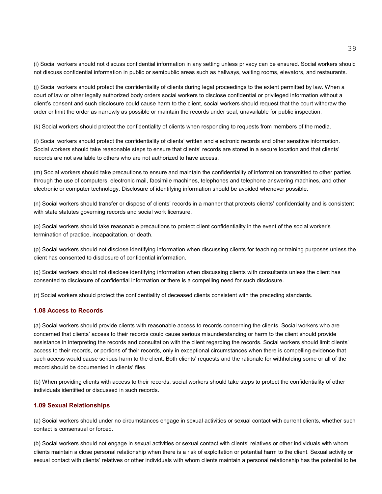(i) Social workers should not discuss confidential information in any setting unless privacy can be ensured. Social workers should not discuss confidential information in public or semipublic areas such as hallways, waiting rooms, elevators, and restaurants.

(j) Social workers should protect the confidentiality of clients during legal proceedings to the extent permitted by law. When a court of law or other legally authorized body orders social workers to disclose confidential or privileged information without a client's consent and such disclosure could cause harm to the client, social workers should request that the court withdraw the order or limit the order as narrowly as possible or maintain the records under seal, unavailable for public inspection.

(k) Social workers should protect the confidentiality of clients when responding to requests from members of the media.

(l) Social workers should protect the confidentiality of clients' written and electronic records and other sensitive information. Social workers should take reasonable steps to ensure that clients' records are stored in a secure location and that clients' records are not available to others who are not authorized to have access.

(m) Social workers should take precautions to ensure and maintain the confidentiality of information transmitted to other parties through the use of computers, electronic mail, facsimile machines, telephones and telephone answering machines, and other electronic or computer technology. Disclosure of identifying information should be avoided whenever possible.

(n) Social workers should transfer or dispose of clients' records in a manner that protects clients' confidentiality and is consistent with state statutes governing records and social work licensure.

(o) Social workers should take reasonable precautions to protect client confidentiality in the event of the social worker's termination of practice, incapacitation, or death.

(p) Social workers should not disclose identifying information when discussing clients for teaching or training purposes unless the client has consented to disclosure of confidential information.

(q) Social workers should not disclose identifying information when discussing clients with consultants unless the client has consented to disclosure of confidential information or there is a compelling need for such disclosure.

(r) Social workers should protect the confidentiality of deceased clients consistent with the preceding standards.

### **1.08 Access to Records**

(a) Social workers should provide clients with reasonable access to records concerning the clients. Social workers who are concerned that clients' access to their records could cause serious misunderstanding or harm to the client should provide assistance in interpreting the records and consultation with the client regarding the records. Social workers should limit clients' access to their records, or portions of their records, only in exceptional circumstances when there is compelling evidence that such access would cause serious harm to the client. Both clients' requests and the rationale for withholding some or all of the record should be documented in clients' files.

(b) When providing clients with access to their records, social workers should take steps to protect the confidentiality of other individuals identified or discussed in such records.

### **1.09 Sexual Relationships**

(a) Social workers should under no circumstances engage in sexual activities or sexual contact with current clients, whether such contact is consensual or forced.

(b) Social workers should not engage in sexual activities or sexual contact with clients' relatives or other individuals with whom clients maintain a close personal relationship when there is a risk of exploitation or potential harm to the client. Sexual activity or sexual contact with clients' relatives or other individuals with whom clients maintain a personal relationship has the potential to be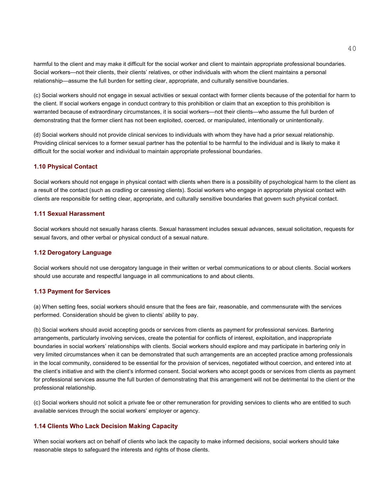harmful to the client and may make it difficult for the social worker and client to maintain appropriate professional boundaries. Social workers—not their clients, their clients' relatives, or other individuals with whom the client maintains a personal relationship—assume the full burden for setting clear, appropriate, and culturally sensitive boundaries.

(c) Social workers should not engage in sexual activities or sexual contact with former clients because of the potential for harm to the client. If social workers engage in conduct contrary to this prohibition or claim that an exception to this prohibition is warranted because of extraordinary circumstances, it is social workers—not their clients—who assume the full burden of demonstrating that the former client has not been exploited, coerced, or manipulated, intentionally or unintentionally.

(d) Social workers should not provide clinical services to individuals with whom they have had a prior sexual relationship. Providing clinical services to a former sexual partner has the potential to be harmful to the individual and is likely to make it difficult for the social worker and individual to maintain appropriate professional boundaries.

### **1.10 Physical Contact**

Social workers should not engage in physical contact with clients when there is a possibility of psychological harm to the client as a result of the contact (such as cradling or caressing clients). Social workers who engage in appropriate physical contact with clients are responsible for setting clear, appropriate, and culturally sensitive boundaries that govern such physical contact.

### **1.11 Sexual Harassment**

Social workers should not sexually harass clients. Sexual harassment includes sexual advances, sexual solicitation, requests for sexual favors, and other verbal or physical conduct of a sexual nature.

#### **1.12 Derogatory Language**

Social workers should not use derogatory language in their written or verbal communications to or about clients. Social workers should use accurate and respectful language in all communications to and about clients.

### **1.13 Payment for Services**

(a) When setting fees, social workers should ensure that the fees are fair, reasonable, and commensurate with the services performed. Consideration should be given to clients' ability to pay.

(b) Social workers should avoid accepting goods or services from clients as payment for professional services. Bartering arrangements, particularly involving services, create the potential for conflicts of interest, exploitation, and inappropriate boundaries in social workers' relationships with clients. Social workers should explore and may participate in bartering only in very limited circumstances when it can be demonstrated that such arrangements are an accepted practice among professionals in the local community, considered to be essential for the provision of services, negotiated without coercion, and entered into at the client's initiative and with the client's informed consent. Social workers who accept goods or services from clients as payment for professional services assume the full burden of demonstrating that this arrangement will not be detrimental to the client or the professional relationship.

(c) Social workers should not solicit a private fee or other remuneration for providing services to clients who are entitled to such available services through the social workers' employer or agency.

### **1.14 Clients Who Lack Decision Making Capacity**

When social workers act on behalf of clients who lack the capacity to make informed decisions, social workers should take reasonable steps to safeguard the interests and rights of those clients.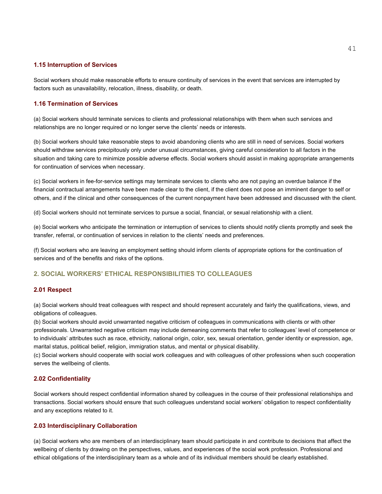### **1.15 Interruption of Services**

Social workers should make reasonable efforts to ensure continuity of services in the event that services are interrupted by factors such as unavailability, relocation, illness, disability, or death.

### **1.16 Termination of Services**

(a) Social workers should terminate services to clients and professional relationships with them when such services and relationships are no longer required or no longer serve the clients' needs or interests.

(b) Social workers should take reasonable steps to avoid abandoning clients who are still in need of services. Social workers should withdraw services precipitously only under unusual circumstances, giving careful consideration to all factors in the situation and taking care to minimize possible adverse effects. Social workers should assist in making appropriate arrangements for continuation of services when necessary.

(c) Social workers in fee-for-service settings may terminate services to clients who are not paying an overdue balance if the financial contractual arrangements have been made clear to the client, if the client does not pose an imminent danger to self or others, and if the clinical and other consequences of the current nonpayment have been addressed and discussed with the client.

(d) Social workers should not terminate services to pursue a social, financial, or sexual relationship with a client.

(e) Social workers who anticipate the termination or interruption of services to clients should notify clients promptly and seek the transfer, referral, or continuation of services in relation to the clients' needs and preferences.

(f) Social workers who are leaving an employment setting should inform clients of appropriate options for the continuation of services and of the benefits and risks of the options.

### **2. SOCIAL WORKERS' ETHICAL RESPONSIBILITIES TO COLLEAGUES**

### **2.01 Respect**

(a) Social workers should treat colleagues with respect and should represent accurately and fairly the qualifications, views, and obligations of colleagues.

(b) Social workers should avoid unwarranted negative criticism of colleagues in communications with clients or with other professionals. Unwarranted negative criticism may include demeaning comments that refer to colleagues' level of competence or to individuals' attributes such as race, ethnicity, national origin, color, sex, sexual orientation, gender identity or expression, age, marital status, political belief, religion, immigration status, and mental or physical disability.

(c) Social workers should cooperate with social work colleagues and with colleagues of other professions when such cooperation serves the wellbeing of clients.

### **2.02 Confidentiality**

Social workers should respect confidential information shared by colleagues in the course of their professional relationships and transactions. Social workers should ensure that such colleagues understand social workers' obligation to respect confidentiality and any exceptions related to it.

### **2.03 Interdisciplinary Collaboration**

(a) Social workers who are members of an interdisciplinary team should participate in and contribute to decisions that affect the wellbeing of clients by drawing on the perspectives, values, and experiences of the social work profession. Professional and ethical obligations of the interdisciplinary team as a whole and of its individual members should be clearly established.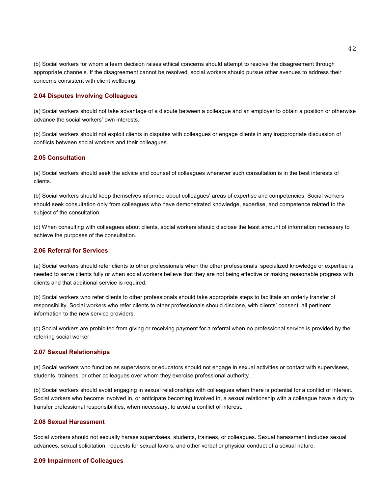(b) Social workers for whom a team decision raises ethical concerns should attempt to resolve the disagreement through appropriate channels. If the disagreement cannot be resolved, social workers should pursue other avenues to address their concerns consistent with client wellbeing.

### **2.04 Disputes Involving Colleagues**

(a) Social workers should not take advantage of a dispute between a colleague and an employer to obtain a position or otherwise advance the social workers' own interests.

(b) Social workers should not exploit clients in disputes with colleagues or engage clients in any inappropriate discussion of conflicts between social workers and their colleagues.

### **2.05 Consultation**

(a) Social workers should seek the advice and counsel of colleagues whenever such consultation is in the best interests of clients.

(b) Social workers should keep themselves informed about colleagues' areas of expertise and competencies. Social workers should seek consultation only from colleagues who have demonstrated knowledge, expertise, and competence related to the subject of the consultation.

(c) When consulting with colleagues about clients, social workers should disclose the least amount of information necessary to achieve the purposes of the consultation.

### **2.06 Referral for Services**

(a) Social workers should refer clients to other professionals when the other professionals' specialized knowledge or expertise is needed to serve clients fully or when social workers believe that they are not being effective or making reasonable progress with clients and that additional service is required.

(b) Social workers who refer clients to other professionals should take appropriate steps to facilitate an orderly transfer of responsibility. Social workers who refer clients to other professionals should disclose, with clients' consent, all pertinent information to the new service providers.

(c) Social workers are prohibited from giving or receiving payment for a referral when no professional service is provided by the referring social worker.

### **2.07 Sexual Relationships**

(a) Social workers who function as supervisors or educators should not engage in sexual activities or contact with supervisees, students, trainees, or other colleagues over whom they exercise professional authority.

(b) Social workers should avoid engaging in sexual relationships with colleagues when there is potential for a conflict of interest. Social workers who become involved in, or anticipate becoming involved in, a sexual relationship with a colleague have a duty to transfer professional responsibilities, when necessary, to avoid a conflict of interest.

### **2.08 Sexual Harassment**

Social workers should not sexually harass supervisees, students, trainees, or colleagues. Sexual harassment includes sexual advances, sexual solicitation, requests for sexual favors, and other verbal or physical conduct of a sexual nature.

#### **2.09 Impairment of Colleagues**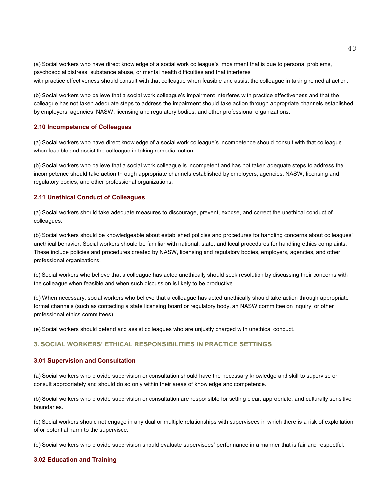(a) Social workers who have direct knowledge of a social work colleague's impairment that is due to personal problems, psychosocial distress, substance abuse, or mental health difficulties and that interferes with practice effectiveness should consult with that colleague when feasible and assist the colleague in taking remedial action.

(b) Social workers who believe that a social work colleague's impairment interferes with practice effectiveness and that the colleague has not taken adequate steps to address the impairment should take action through appropriate channels established by employers, agencies, NASW, licensing and regulatory bodies, and other professional organizations.

### **2.10 Incompetence of Colleagues**

(a) Social workers who have direct knowledge of a social work colleague's incompetence should consult with that colleague when feasible and assist the colleague in taking remedial action.

(b) Social workers who believe that a social work colleague is incompetent and has not taken adequate steps to address the incompetence should take action through appropriate channels established by employers, agencies, NASW, licensing and regulatory bodies, and other professional organizations.

### **2.11 Unethical Conduct of Colleagues**

(a) Social workers should take adequate measures to discourage, prevent, expose, and correct the unethical conduct of colleagues.

(b) Social workers should be knowledgeable about established policies and procedures for handling concerns about colleagues' unethical behavior. Social workers should be familiar with national, state, and local procedures for handling ethics complaints. These include policies and procedures created by NASW, licensing and regulatory bodies, employers, agencies, and other professional organizations.

(c) Social workers who believe that a colleague has acted unethically should seek resolution by discussing their concerns with the colleague when feasible and when such discussion is likely to be productive.

(d) When necessary, social workers who believe that a colleague has acted unethically should take action through appropriate formal channels (such as contacting a state licensing board or regulatory body, an NASW committee on inquiry, or other professional ethics committees).

(e) Social workers should defend and assist colleagues who are unjustly charged with unethical conduct.

### **3. SOCIAL WORKERS' ETHICAL RESPONSIBILITIES IN PRACTICE SETTINGS**

### **3.01 Supervision and Consultation**

(a) Social workers who provide supervision or consultation should have the necessary knowledge and skill to supervise or consult appropriately and should do so only within their areas of knowledge and competence.

(b) Social workers who provide supervision or consultation are responsible for setting clear, appropriate, and culturally sensitive boundaries.

(c) Social workers should not engage in any dual or multiple relationships with supervisees in which there is a risk of exploitation of or potential harm to the supervisee.

(d) Social workers who provide supervision should evaluate supervisees' performance in a manner that is fair and respectful.

### **3.02 Education and Training**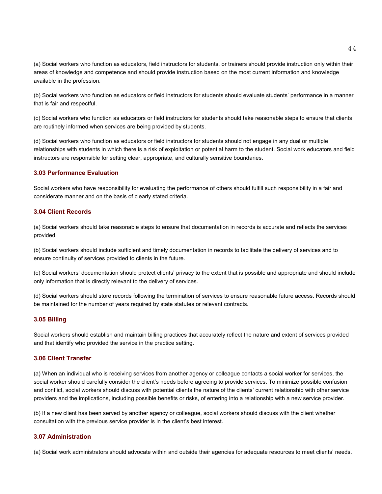(a) Social workers who function as educators, field instructors for students, or trainers should provide instruction only within their areas of knowledge and competence and should provide instruction based on the most current information and knowledge available in the profession.

(b) Social workers who function as educators or field instructors for students should evaluate students' performance in a manner that is fair and respectful.

(c) Social workers who function as educators or field instructors for students should take reasonable steps to ensure that clients are routinely informed when services are being provided by students.

(d) Social workers who function as educators or field instructors for students should not engage in any dual or multiple relationships with students in which there is a risk of exploitation or potential harm to the student. Social work educators and field instructors are responsible for setting clear, appropriate, and culturally sensitive boundaries.

### **3.03 Performance Evaluation**

Social workers who have responsibility for evaluating the performance of others should fulfill such responsibility in a fair and considerate manner and on the basis of clearly stated criteria.

### **3.04 Client Records**

(a) Social workers should take reasonable steps to ensure that documentation in records is accurate and reflects the services provided.

(b) Social workers should include sufficient and timely documentation in records to facilitate the delivery of services and to ensure continuity of services provided to clients in the future.

(c) Social workers' documentation should protect clients' privacy to the extent that is possible and appropriate and should include only information that is directly relevant to the delivery of services.

(d) Social workers should store records following the termination of services to ensure reasonable future access. Records should be maintained for the number of years required by state statutes or relevant contracts.

### **3.05 Billing**

Social workers should establish and maintain billing practices that accurately reflect the nature and extent of services provided and that identify who provided the service in the practice setting.

### **3.06 Client Transfer**

(a) When an individual who is receiving services from another agency or colleague contacts a social worker for services, the social worker should carefully consider the client's needs before agreeing to provide services. To minimize possible confusion and conflict, social workers should discuss with potential clients the nature of the clients' current relationship with other service providers and the implications, including possible benefits or risks, of entering into a relationship with a new service provider.

(b) If a new client has been served by another agency or colleague, social workers should discuss with the client whether consultation with the previous service provider is in the client's best interest.

### **3.07 Administration**

(a) Social work administrators should advocate within and outside their agencies for adequate resources to meet clients' needs.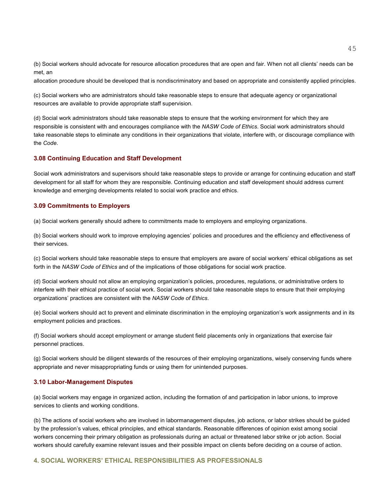(b) Social workers should advocate for resource allocation procedures that are open and fair. When not all clients' needs can be met, an

allocation procedure should be developed that is nondiscriminatory and based on appropriate and consistently applied principles.

(c) Social workers who are administrators should take reasonable steps to ensure that adequate agency or organizational resources are available to provide appropriate staff supervision.

(d) Social work administrators should take reasonable steps to ensure that the working environment for which they are responsible is consistent with and encourages compliance with the *NASW Code of Ethics*. Social work administrators should take reasonable steps to eliminate any conditions in their organizations that violate, interfere with, or discourage compliance with the *Code*.

### **3.08 Continuing Education and Staff Development**

Social work administrators and supervisors should take reasonable steps to provide or arrange for continuing education and staff development for all staff for whom they are responsible. Continuing education and staff development should address current knowledge and emerging developments related to social work practice and ethics.

### **3.09 Commitments to Employers**

(a) Social workers generally should adhere to commitments made to employers and employing organizations.

(b) Social workers should work to improve employing agencies' policies and procedures and the efficiency and effectiveness of their services.

(c) Social workers should take reasonable steps to ensure that employers are aware of social workers' ethical obligations as set forth in the *NASW Code of Ethics* and of the implications of those obligations for social work practice.

(d) Social workers should not allow an employing organization's policies, procedures, regulations, or administrative orders to interfere with their ethical practice of social work. Social workers should take reasonable steps to ensure that their employing organizations' practices are consistent with the *NASW Code of Ethics*.

(e) Social workers should act to prevent and eliminate discrimination in the employing organization's work assignments and in its employment policies and practices.

(f) Social workers should accept employment or arrange student field placements only in organizations that exercise fair personnel practices.

(g) Social workers should be diligent stewards of the resources of their employing organizations, wisely conserving funds where appropriate and never misappropriating funds or using them for unintended purposes.

### **3.10 Labor-Management Disputes**

(a) Social workers may engage in organized action, including the formation of and participation in labor unions, to improve services to clients and working conditions.

(b) The actions of social workers who are involved in labormanagement disputes, job actions, or labor strikes should be guided by the profession's values, ethical principles, and ethical standards. Reasonable differences of opinion exist among social workers concerning their primary obligation as professionals during an actual or threatened labor strike or job action. Social workers should carefully examine relevant issues and their possible impact on clients before deciding on a course of action.

### **4. SOCIAL WORKERS' ETHICAL RESPONSIBILITIES AS PROFESSIONALS**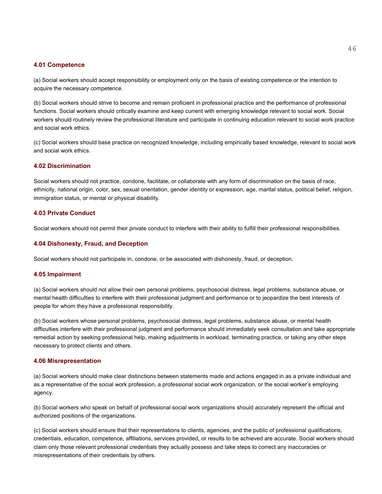### **4.01 Competence**

(a) Social workers should accept responsibility or employment only on the basis of existing competence or the intention to acquire the necessary competence.

(b) Social workers should strive to become and remain proficient in professional practice and the performance of professional functions. Social workers should critically examine and keep current with emerging knowledge relevant to social work. Social workers should routinely review the professional literature and participate in continuing education relevant to social work practice and social work ethics.

(c) Social workers should base practice on recognized knowledge, including empirically based knowledge, relevant to social work and social work ethics.

### **4.02 Discrimination**

Social workers should not practice, condone, facilitate, or collaborate with any form of discrimination on the basis of race, ethnicity, national origin, color, sex, sexual orientation, gender identity or expression, age, marital status, political belief, religion, immigration status, or mental or physical disability.

### **4.03 Private Conduct**

Social workers should not permit their private conduct to interfere with their ability to fulfill their professional responsibilities.

### **4.04 Dishonesty, Fraud, and Deception**

Social workers should not participate in, condone, or be associated with dishonesty, fraud, or deception.

### **4.05 Impairment**

(a) Social workers should not allow their own personal problems, psychosocial distress, legal problems, substance abuse, or mental health difficulties to interfere with their professional judgment and performance or to jeopardize the best interests of people for whom they have a professional responsibility.

(b) Social workers whose personal problems, psychosocial distress, legal problems, substance abuse, or mental health difficulties interfere with their professional judgment and performance should immediately seek consultation and take appropriate remedial action by seeking professional help, making adjustments in workload, terminating practice, or taking any other steps necessary to protect clients and others.

### **4.06 Misrepresentation**

(a) Social workers should make clear distinctions between statements made and actions engaged in as a private individual and as a representative of the social work profession, a professional social work organization, or the social worker's employing agency.

(b) Social workers who speak on behalf of professional social work organizations should accurately represent the official and authorized positions of the organizations.

(c) Social workers should ensure that their representations to clients, agencies, and the public of professional qualifications, credentials, education, competence, affiliations, services provided, or results to be achieved are accurate. Social workers should claim only those relevant professional credentials they actually possess and take steps to correct any inaccuracies or misrepresentations of their credentials by others.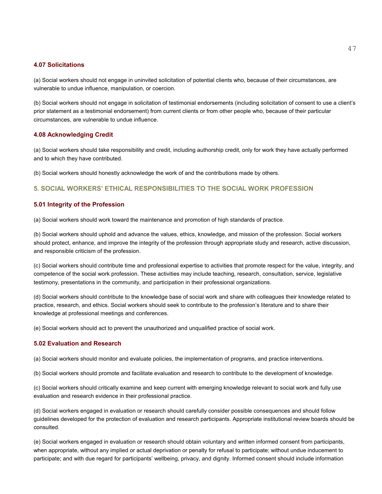### **4.07 Solicitations**

(a) Social workers should not engage in uninvited solicitation of potential clients who, because of their circumstances, are vulnerable to undue influence, manipulation, or coercion.

(b) Social workers should not engage in solicitation of testimonial endorsements (including solicitation of consent to use a client's prior statement as a testimonial endorsement) from current clients or from other people who, because of their particular circumstances, are vulnerable to undue influence.

#### **4.08 Acknowledging Credit**

(a) Social workers should take responsibility and credit, including authorship credit, only for work they have actually performed and to which they have contributed.

(b) Social workers should honestly acknowledge the work of and the contributions made by others.

### **5. SOCIAL WORKERS' ETHICAL RESPONSIBILITIES TO THE SOCIAL WORK PROFESSION**

### **5.01 Integrity of the Profession**

(a) Social workers should work toward the maintenance and promotion of high standards of practice.

(b) Social workers should uphold and advance the values, ethics, knowledge, and mission of the profession. Social workers should protect, enhance, and improve the integrity of the profession through appropriate study and research, active discussion, and responsible criticism of the profession.

(c) Social workers should contribute time and professional expertise to activities that promote respect for the value, integrity, and competence of the social work profession. These activities may include teaching, research, consultation, service, legislative testimony, presentations in the community, and participation in their professional organizations.

(d) Social workers should contribute to the knowledge base of social work and share with colleagues their knowledge related to practice, research, and ethics. Social workers should seek to contribute to the profession's literature and to share their knowledge at professional meetings and conferences.

(e) Social workers should act to prevent the unauthorized and unqualified practice of social work.

### **5.02 Evaluation and Research**

(a) Social workers should monitor and evaluate policies, the implementation of programs, and practice interventions.

(b) Social workers should promote and facilitate evaluation and research to contribute to the development of knowledge.

(c) Social workers should critically examine and keep current with emerging knowledge relevant to social work and fully use evaluation and research evidence in their professional practice.

(d) Social workers engaged in evaluation or research should carefully consider possible consequences and should follow guidelines developed for the protection of evaluation and research participants. Appropriate institutional review boards should be consulted.

(e) Social workers engaged in evaluation or research should obtain voluntary and written informed consent from participants, when appropriate, without any implied or actual deprivation or penalty for refusal to participate; without undue inducement to participate; and with due regard for participants' wellbeing, privacy, and dignity. Informed consent should include information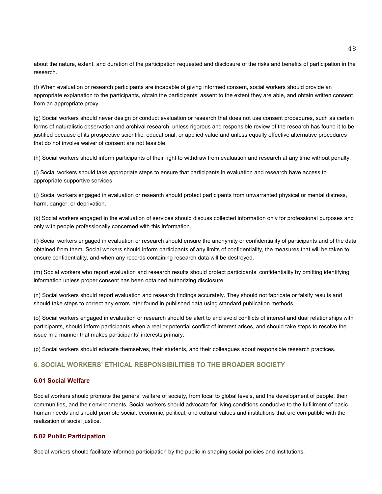about the nature, extent, and duration of the participation requested and disclosure of the risks and benefits of participation in the research.

(f) When evaluation or research participants are incapable of giving informed consent, social workers should provide an appropriate explanation to the participants, obtain the participants' assent to the extent they are able, and obtain written consent from an appropriate proxy.

(g) Social workers should never design or conduct evaluation or research that does not use consent procedures, such as certain forms of naturalistic observation and archival research, unless rigorous and responsible review of the research has found it to be justified because of its prospective scientific, educational, or applied value and unless equally effective alternative procedures that do not involve waiver of consent are not feasible.

(h) Social workers should inform participants of their right to withdraw from evaluation and research at any time without penalty.

(i) Social workers should take appropriate steps to ensure that participants in evaluation and research have access to appropriate supportive services.

(j) Social workers engaged in evaluation or research should protect participants from unwarranted physical or mental distress, harm, danger, or deprivation.

(k) Social workers engaged in the evaluation of services should discuss collected information only for professional purposes and only with people professionally concerned with this information.

(l) Social workers engaged in evaluation or research should ensure the anonymity or confidentiality of participants and of the data obtained from them. Social workers should inform participants of any limits of confidentiality, the measures that will be taken to ensure confidentiality, and when any records containing research data will be destroyed.

(m) Social workers who report evaluation and research results should protect participants' confidentiality by omitting identifying information unless proper consent has been obtained authorizing disclosure.

(n) Social workers should report evaluation and research findings accurately. They should not fabricate or falsify results and should take steps to correct any errors later found in published data using standard publication methods.

(o) Social workers engaged in evaluation or research should be alert to and avoid conflicts of interest and dual relationships with participants, should inform participants when a real or potential conflict of interest arises, and should take steps to resolve the issue in a manner that makes participants' interests primary.

(p) Social workers should educate themselves, their students, and their colleagues about responsible research practices.

### **6. SOCIAL WORKERS' ETHICAL RESPONSIBILITIES TO THE BROADER SOCIETY**

### **6.01 Social Welfare**

Social workers should promote the general welfare of society, from local to global levels, and the development of people, their communities, and their environments. Social workers should advocate for living conditions conducive to the fulfillment of basic human needs and should promote social, economic, political, and cultural values and institutions that are compatible with the realization of social justice.

### **6.02 Public Participation**

Social workers should facilitate informed participation by the public in shaping social policies and institutions.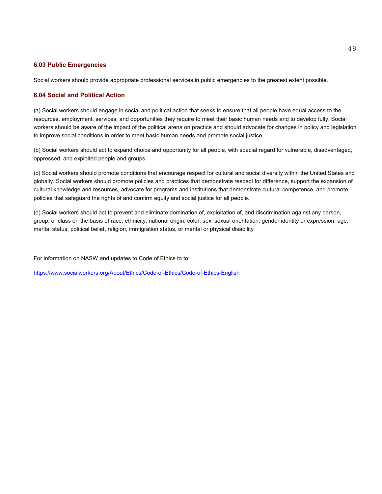### **6.03 Public Emergencies**

Social workers should provide appropriate professional services in public emergencies to the greatest extent possible.

### **6.04 Social and Political Action**

(a) Social workers should engage in social and political action that seeks to ensure that all people have equal access to the resources, employment, services, and opportunities they require to meet their basic human needs and to develop fully. Social workers should be aware of the impact of the political arena on practice and should advocate for changes in policy and legislation to improve social conditions in order to meet basic human needs and promote social justice.

(b) Social workers should act to expand choice and opportunity for all people, with special regard for vulnerable, disadvantaged, oppressed, and exploited people and groups.

(c) Social workers should promote conditions that encourage respect for cultural and social diversity within the United States and globally. Social workers should promote policies and practices that demonstrate respect for difference, support the expansion of cultural knowledge and resources, advocate for programs and institutions that demonstrate cultural competence, and promote policies that safeguard the rights of and confirm equity and social justice for all people.

(d) Social workers should act to prevent and eliminate domination of, exploitation of, and discrimination against any person, group, or class on the basis of race, ethnicity, national origin, color, sex, sexual orientation, gender identity or expression, age, marital status, political belief, religion, immigration status, or mental or physical disability

For information on NASW and updates to Code of Ethics to to:

<https://www.socialworkers.org/About/Ethics/Code-of-Ethics/Code-of-Ethics-English>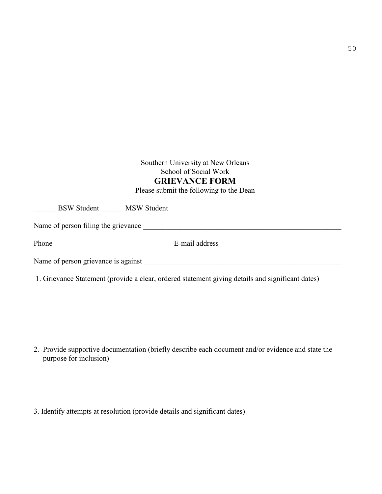| Southern University at New Orleans |
|------------------------------------|
| School of Social Work              |
| <b>GRIEVANCE FORM</b>              |

Please submit the following to the Dean

| <b>BSW Student</b> |  | <b>MSW Student</b> |  |
|--------------------|--|--------------------|--|
|                    |  |                    |  |

| Name of person filing the grievance |  |
|-------------------------------------|--|
|                                     |  |

| Phone                               | E-mail address |  |
|-------------------------------------|----------------|--|
| Name of person grievance is against |                |  |

1. Grievance Statement (provide a clear, ordered statement giving details and significant dates)

- 2. Provide supportive documentation (briefly describe each document and/or evidence and state the purpose for inclusion)
- 3. Identify attempts at resolution (provide details and significant dates)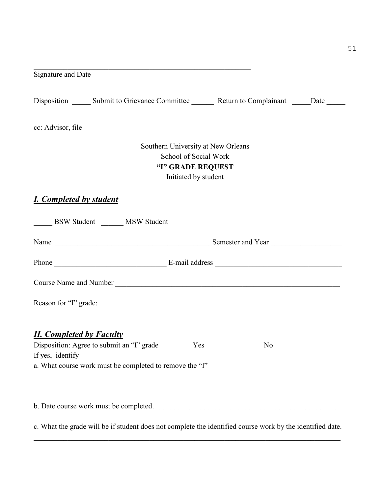| Signature and Date |  |  |
|--------------------|--|--|
|                    |  |  |

Disposition \_\_\_\_\_\_\_ Submit to Grievance Committee \_\_\_\_\_\_\_\_\_\_ Return to Complainant \_\_\_\_\_\_Date \_\_\_\_\_\_

cc: Advisor, file

# Southern University at New Orleans School of Social Work **"I" GRADE REQUEST** Initiated by student

# *I. Completed by student*

| BSW Student MSW Student                                 |                   |  |
|---------------------------------------------------------|-------------------|--|
| Name                                                    | Semester and Year |  |
|                                                         |                   |  |
| Course Name and Number                                  |                   |  |
| Reason for "I" grade:                                   |                   |  |
| <b>II. Completed by Faculty</b>                         |                   |  |
| Disposition: Agree to submit an "I" grade Yes           | No                |  |
| If yes, identify                                        |                   |  |
| a. What course work must be completed to remove the "I" |                   |  |
| b. Date course work must be completed.                  |                   |  |

c. What the grade will be if student does not complete the identified course work by the identified date. \_\_\_\_\_\_\_\_\_\_\_\_\_\_\_\_\_\_\_\_\_\_\_\_\_\_\_\_\_\_\_\_\_\_\_\_\_\_\_\_\_\_\_\_\_\_\_\_\_\_\_\_\_\_\_\_\_\_\_\_\_\_\_\_\_\_\_\_\_\_\_\_\_\_\_\_\_\_\_\_\_\_

 $\mathcal{L}_\text{max}$  , and the contribution of the contribution of the contribution of the contribution of the contribution of the contribution of the contribution of the contribution of the contribution of the contribution of t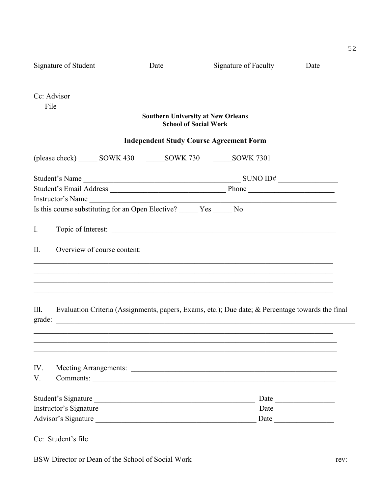| Signature of Student                          |                             | Date                                                                                                       | Signature of Faculty |      | Date |
|-----------------------------------------------|-----------------------------|------------------------------------------------------------------------------------------------------------|----------------------|------|------|
| Cc: Advisor<br>File                           |                             |                                                                                                            |                      |      |      |
|                                               |                             | <b>Southern University at New Orleans</b><br><b>School of Social Work</b>                                  |                      |      |      |
|                                               |                             | <b>Independent Study Course Agreement Form</b>                                                             |                      |      |      |
|                                               |                             | (please check) ________ SOWK 430 _________ SOWK 730 ______________ SOWK 7301                               |                      |      |      |
|                                               |                             |                                                                                                            |                      |      |      |
|                                               |                             |                                                                                                            |                      |      |      |
|                                               |                             | Instructor's Name<br>Is this course substituting for an Open Elective? Ves No                              |                      |      |      |
| I.<br>Π.                                      | Overview of course content: | Topic of Interest:                                                                                         |                      |      |      |
| Ш.                                            |                             | Evaluation Criteria (Assignments, papers, Exams, etc.); Due date; & Percentage towards the final<br>grade: |                      |      |      |
| IV.<br>V.                                     |                             | Meeting Arrangements: New York Changements:                                                                |                      |      |      |
|                                               |                             |                                                                                                            |                      |      |      |
| Student's Signature<br>Instructor's Signature |                             |                                                                                                            |                      | Date |      |
| Advisor's Signature                           |                             |                                                                                                            |                      | Date |      |
| Cc: Student's file                            |                             |                                                                                                            |                      |      |      |

BSW Director or Dean of the School of Social Work rev: rev:

52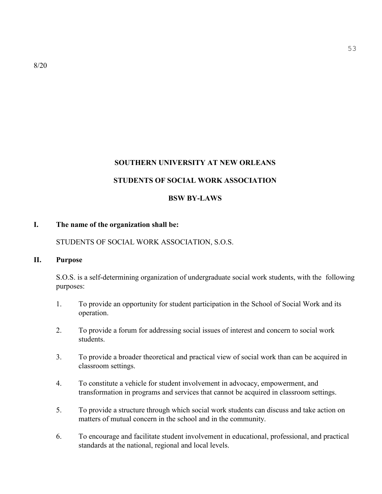# **SOUTHERN UNIVERSITY AT NEW ORLEANS STUDENTS OF SOCIAL WORK ASSOCIATION BSW BY-LAWS**

### **I. The name of the organization shall be:**

### STUDENTS OF SOCIAL WORK ASSOCIATION, S.O.S.

### **II. Purpose**

S.O.S. is a self-determining organization of undergraduate social work students, with the following purposes:

- 1. To provide an opportunity for student participation in the School of Social Work and its operation.
- 2. To provide a forum for addressing social issues of interest and concern to social work students.
- 3. To provide a broader theoretical and practical view of social work than can be acquired in classroom settings.
- 4. To constitute a vehicle for student involvement in advocacy, empowerment, and transformation in programs and services that cannot be acquired in classroom settings.
- 5. To provide a structure through which social work students can discuss and take action on matters of mutual concern in the school and in the community.
- 6. To encourage and facilitate student involvement in educational, professional, and practical standards at the national, regional and local levels.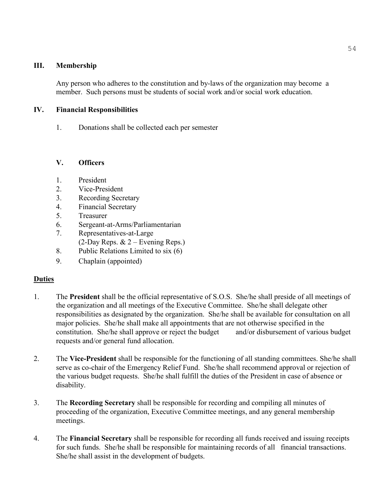# **III. Membership**

Any person who adheres to the constitution and by-laws of the organization may become a member. Such persons must be students of social work and/or social work education.

# **IV. Financial Responsibilities**

1. Donations shall be collected each per semester

# **V. Officers**

- 1. President
- 2. Vice-President
- 3. Recording Secretary
- 4. Financial Secretary
- 5. Treasurer
- 6. Sergeant-at-Arms/Parliamentarian
- 7. Representatives-at-Large
	- $(2-Day$  Reps.  $& 2 -$  Evening Reps.)
- 8. Public Relations Limited to six (6)
- 9. Chaplain (appointed)

# **Duties**

- 1. The **President** shall be the official representative of S.O.S. She/he shall preside of all meetings of the organization and all meetings of the Executive Committee. She/he shall delegate other responsibilities as designated by the organization. She/he shall be available for consultation on all major policies. She/he shall make all appointments that are not otherwise specified in the constitution. She/he shall approve or reject the budget and/or disbursement of various budget requests and/or general fund allocation.
- 2. The **Vice-President** shall be responsible for the functioning of all standing committees. She/he shall serve as co-chair of the Emergency Relief Fund. She/he shall recommend approval or rejection of the various budget requests. She/he shall fulfill the duties of the President in case of absence or disability.
- 3. The **Recording Secretary** shall be responsible for recording and compiling all minutes of proceeding of the organization, Executive Committee meetings, and any general membership meetings.
- 4. The **Financial Secretary** shall be responsible for recording all funds received and issuing receipts for such funds. She/he shall be responsible for maintaining records of all financial transactions. She/he shall assist in the development of budgets.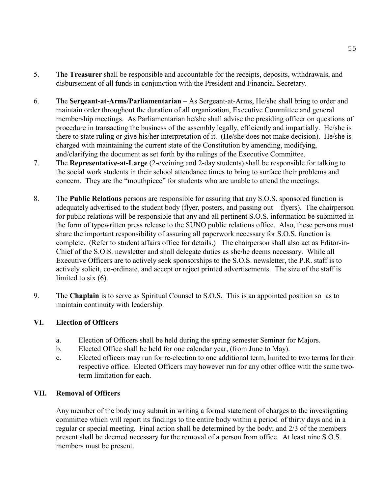- 5. The **Treasurer** shall be responsible and accountable for the receipts, deposits, withdrawals, and disbursement of all funds in conjunction with the President and Financial Secretary.
- 6. The **Sergeant-at-Arms/Parliamentarian** As Sergeant-at-Arms, He/she shall bring to order and maintain order throughout the duration of all organization, Executive Committee and general membership meetings. As Parliamentarian he/she shall advise the presiding officer on questions of procedure in transacting the business of the assembly legally, efficiently and impartially. He/she is there to state ruling or give his/her interpretation of it. (He/she does not make decision). He/she is charged with maintaining the current state of the Constitution by amending, modifying, and/clarifying the document as set forth by the rulings of the Executive Committee.
- 7. The **Representative-at-Large** (2-eveining and 2-day students) shall be responsible for talking to the social work students in their school attendance times to bring to surface their problems and concern. They are the "mouthpiece" for students who are unable to attend the meetings.
- 8. The **Public Relations** persons are responsible for assuring that any S.O.S. sponsored function is adequately advertised to the student body (flyer, posters, and passing out flyers). The chairperson for public relations will be responsible that any and all pertinent S.O.S. information be submitted in the form of typewritten press release to the SUNO public relations office. Also, these persons must share the important responsibility of assuring all paperwork necessary for S.O.S. function is complete. (Refer to student affairs office for details.) The chairperson shall also act as Editor-in-Chief of the S.O.S. newsletter and shall delegate duties as she/he deems necessary. While all Executive Officers are to actively seek sponsorships to the S.O.S. newsletter, the P.R. staff is to actively solicit, co-ordinate, and accept or reject printed advertisements. The size of the staff is limited to six  $(6)$ .
- 9. The **Chaplain** is to serve as Spiritual Counsel to S.O.S. This is an appointed position so as to maintain continuity with leadership.

# **VI. Election of Officers**

- a. Election of Officers shall be held during the spring semester Seminar for Majors.
- b. Elected Office shall be held for one calendar year, (from June to May).
- c. Elected officers may run for re-election to one additional term, limited to two terms for their respective office. Elected Officers may however run for any other office with the same twoterm limitation for each.

# **VII. Removal of Officers**

Any member of the body may submit in writing a formal statement of charges to the investigating committee which will report its findings to the entire body within a period of thirty days and in a regular or special meeting. Final action shall be determined by the body; and 2/3 of the members present shall be deemed necessary for the removal of a person from office. At least nine S.O.S. members must be present.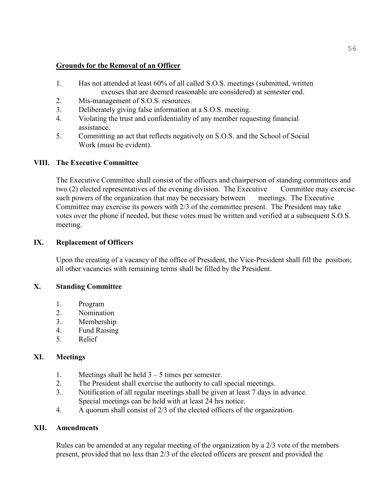# **Grounds for the Removal of an Officer**

- 1. Has not attended at least 60% of all called S.O.S. meetings (submitted, written excuses that are deemed reasonable are considered) at semester end.
- 2. Mis-management of S.O.S. resources.
- 3. Deliberately giving false information at a S.O.S. meeting.
- 4. Violating the trust and confidentiality of any member requesting financial assistance.
- 5. Committing an act that reflects negatively on S.O.S. and the School of Social Work (must be evident).

# **VIII. The Executive Committee**

The Executive Committee shall consist of the officers and chairperson of standing committees and two (2) elected representatives of the evening division. The Executive Committee may exercise such powers of the organization that may be necessary between meetings. The Executive Committee may exercise its powers with 2/3 of the committee present. The President may take votes over the phone if needed, but these votes must be written and verified at a subsequent S.O.S. meeting.

# **IX. Replacement of Officers**

Upon the creating of a vacancy of the office of President, the Vice-President shall fill the position; all other vacancies with remaining terms shall be filled by the President.

# **X. Standing Committee**

- 1. Program
- 2. Nomination
- 3. Membership
- 4. Fund Raising
- 5. Relief

# **XI. Meetings**

- 1. Meetings shall be held  $3 5$  times per semester.
- 2. The President shall exercise the authority to call special meetings.
- 3. Notification of all regular meetings shall be given at least 7 days in advance. Special meetings can be held with at least 24 hrs notice.
- 4. A quorum shall consist of 2/3 of the elected officers of the organization.

# **XII. Amendments**

Rules can be amended at any regular meeting of the organization by a 2/3 vote of the members present, provided that no less than 2/3 of the elected officers are present and provided the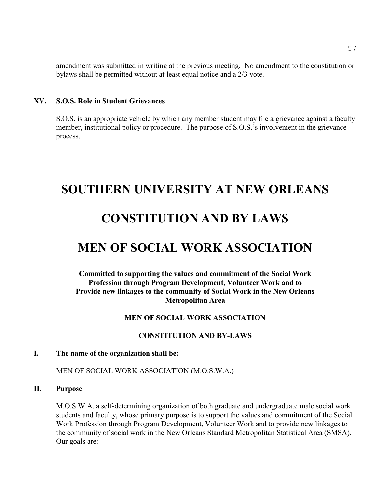amendment was submitted in writing at the previous meeting. No amendment to the constitution or bylaws shall be permitted without at least equal notice and a 2/3 vote.

### **XV. S.O.S. Role in Student Grievances**

S.O.S. is an appropriate vehicle by which any member student may file a grievance against a faculty member, institutional policy or procedure. The purpose of S.O.S.'s involvement in the grievance process.

# **SOUTHERN UNIVERSITY AT NEW ORLEANS**

# **CONSTITUTION AND BY LAWS**

# **MEN OF SOCIAL WORK ASSOCIATION**

# **Committed to supporting the values and commitment of the Social Work Profession through Program Development, Volunteer Work and to Provide new linkages to the community of Social Work in the New Orleans Metropolitan Area**

# **MEN OF SOCIAL WORK ASSOCIATION**

### **CONSTITUTION AND BY-LAWS**

### **I. The name of the organization shall be:**

MEN OF SOCIAL WORK ASSOCIATION (M.O.S.W.A.)

# **II. Purpose**

M.O.S.W.A. a self-determining organization of both graduate and undergraduate male social work students and faculty, whose primary purpose is to support the values and commitment of the Social Work Profession through Program Development, Volunteer Work and to provide new linkages to the community of social work in the New Orleans Standard Metropolitan Statistical Area (SMSA). Our goals are: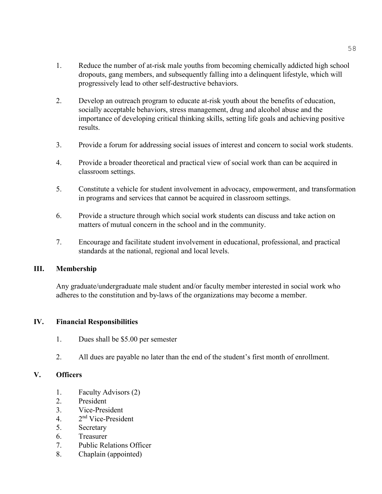- 1. Reduce the number of at-risk male youths from becoming chemically addicted high school dropouts, gang members, and subsequently falling into a delinquent lifestyle, which will progressively lead to other self-destructive behaviors.
- 2. Develop an outreach program to educate at-risk youth about the benefits of education, socially acceptable behaviors, stress management, drug and alcohol abuse and the importance of developing critical thinking skills, setting life goals and achieving positive results.
- 3. Provide a forum for addressing social issues of interest and concern to social work students.
- 4. Provide a broader theoretical and practical view of social work than can be acquired in classroom settings.
- 5. Constitute a vehicle for student involvement in advocacy, empowerment, and transformation in programs and services that cannot be acquired in classroom settings.
- 6. Provide a structure through which social work students can discuss and take action on matters of mutual concern in the school and in the community.
- 7. Encourage and facilitate student involvement in educational, professional, and practical standards at the national, regional and local levels.

# **III. Membership**

Any graduate/undergraduate male student and/or faculty member interested in social work who adheres to the constitution and by-laws of the organizations may become a member.

# **IV. Financial Responsibilities**

- 1. Dues shall be \$5.00 per semester
- 2. All dues are payable no later than the end of the student's first month of enrollment.

# **V. Officers**

- 1. Faculty Advisors (2)
- 2. President
- 3. Vice-President
- 4. 2nd Vice-President
- 5. Secretary
- 6. Treasurer
- 7. Public Relations Officer
- 8. Chaplain (appointed)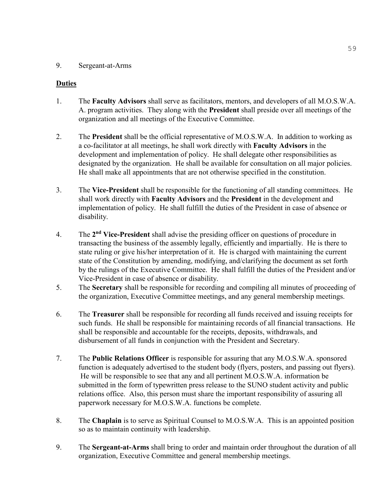# 9. Sergeant-at-Arms

# **Duties**

- 1. The **Faculty Advisors** shall serve as facilitators, mentors, and developers of all M.O.S.W.A. A. program activities. They along with the **President** shall preside over all meetings of the organization and all meetings of the Executive Committee.
- 2. The **President** shall be the official representative of M.O.S.W.A. In addition to working as a co-facilitator at all meetings, he shall work directly with **Faculty Advisors** in the development and implementation of policy. He shall delegate other responsibilities as designated by the organization. He shall be available for consultation on all major policies. He shall make all appointments that are not otherwise specified in the constitution.
- 3. The **Vice-President** shall be responsible for the functioning of all standing committees. He shall work directly with **Faculty Advisors** and the **President** in the development and implementation of policy. He shall fulfill the duties of the President in case of absence or disability.
- 4. The **2nd Vice-President** shall advise the presiding officer on questions of procedure in transacting the business of the assembly legally, efficiently and impartially. He is there to state ruling or give his/her interpretation of it. He is charged with maintaining the current state of the Constitution by amending, modifying, and/clarifying the document as set forth by the rulings of the Executive Committee. He shall fulfill the duties of the President and/or Vice-President in case of absence or disability.
- 5. The **Secretary** shall be responsible for recording and compiling all minutes of proceeding of the organization, Executive Committee meetings, and any general membership meetings.
- 6. The **Treasurer** shall be responsible for recording all funds received and issuing receipts for such funds. He shall be responsible for maintaining records of all financial transactions. He shall be responsible and accountable for the receipts, deposits, withdrawals, and disbursement of all funds in conjunction with the President and Secretary.
- 7. The **Public Relations Officer** is responsible for assuring that any M.O.S.W.A. sponsored function is adequately advertised to the student body (flyers, posters, and passing out flyers). He will be responsible to see that any and all pertinent M.O.S.W.A. information be submitted in the form of typewritten press release to the SUNO student activity and public relations office. Also, this person must share the important responsibility of assuring all paperwork necessary for M.O.S.W.A. functions be complete.
- 8. The **Chaplain** is to serve as Spiritual Counsel to M.O.S.W.A. This is an appointed position so as to maintain continuity with leadership.
- 9. The **Sergeant-at-Arms** shall bring to order and maintain order throughout the duration of all organization, Executive Committee and general membership meetings.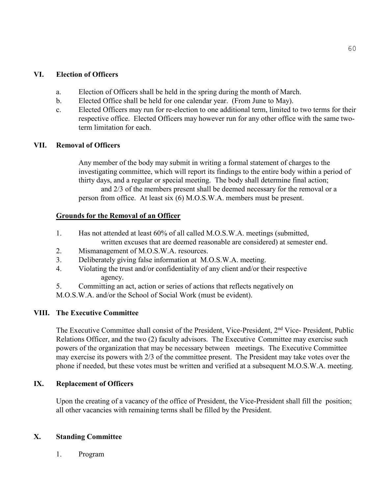# **VI. Election of Officers**

- a. Election of Officers shall be held in the spring during the month of March.
- b. Elected Office shall be held for one calendar year. (From June to May).
- c. Elected Officers may run for re-election to one additional term, limited to two terms for their respective office. Elected Officers may however run for any other office with the same twoterm limitation for each.

# **VII. Removal of Officers**

Any member of the body may submit in writing a formal statement of charges to the investigating committee, which will report its findings to the entire body within a period of thirty days, and a regular or special meeting. The body shall determine final action; and 2/3 of the members present shall be deemed necessary for the removal or a person from office. At least six (6) M.O.S.W.A. members must be present.

# **Grounds for the Removal of an Officer**

- 1. Has not attended at least 60% of all called M.O.S.W.A. meetings (submitted, written excuses that are deemed reasonable are considered) at semester end.
- 2. Mismanagement of M.O.S.W.A. resources.
- 3. Deliberately giving false information at M.O.S.W.A. meeting.
- 4. Violating the trust and/or confidentiality of any client and/or their respective agency.
- 5. Committing an act, action or series of actions that reflects negatively on

M.O.S.W.A. and/or the School of Social Work (must be evident).

# **VIII. The Executive Committee**

The Executive Committee shall consist of the President, Vice-President, 2nd Vice- President, Public Relations Officer, and the two (2) faculty advisors. The Executive Committee may exercise such powers of the organization that may be necessary between meetings. The Executive Committee may exercise its powers with 2/3 of the committee present. The President may take votes over the phone if needed, but these votes must be written and verified at a subsequent M.O.S.W.A. meeting.

# **IX. Replacement of Officers**

Upon the creating of a vacancy of the office of President, the Vice-President shall fill the position; all other vacancies with remaining terms shall be filled by the President.

# **X. Standing Committee**

1. Program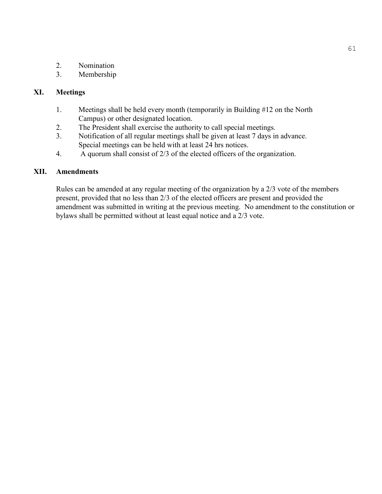- 2. Nomination
- 3. Membership

# **XI. Meetings**

- 1. Meetings shall be held every month (temporarily in Building #12 on the North Campus) or other designated location.
- 2. The President shall exercise the authority to call special meetings.
- 3. Notification of all regular meetings shall be given at least 7 days in advance. Special meetings can be held with at least 24 hrs notices.
- 4. A quorum shall consist of 2/3 of the elected officers of the organization.

# **XII. Amendments**

Rules can be amended at any regular meeting of the organization by a 2/3 vote of the members present, provided that no less than 2/3 of the elected officers are present and provided the amendment was submitted in writing at the previous meeting. No amendment to the constitution or bylaws shall be permitted without at least equal notice and a 2/3 vote.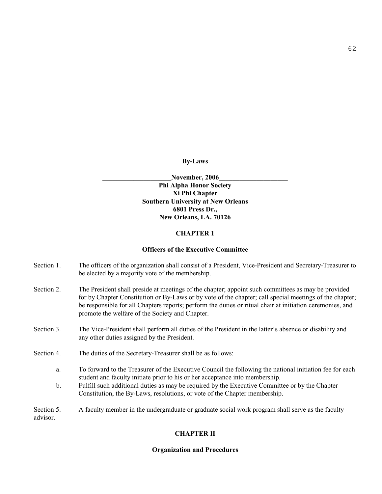### **By-Laws**

November, 2006 **Phi Alpha Honor Society Xi Phi Chapter Southern University at New Orleans 6801 Press Dr., New Orleans, LA. 70126** 

### **CHAPTER 1**

### **Officers of the Executive Committee**

- Section 1. The officers of the organization shall consist of a President, Vice-President and Secretary-Treasurer to be elected by a majority vote of the membership.
- Section 2. The President shall preside at meetings of the chapter; appoint such committees as may be provided for by Chapter Constitution or By-Laws or by vote of the chapter; call special meetings of the chapter; be responsible for all Chapters reports; perform the duties or ritual chair at initiation ceremonies, and promote the welfare of the Society and Chapter.
- Section 3. The Vice-President shall perform all duties of the President in the latter's absence or disability and any other duties assigned by the President.
- Section 4. The duties of the Secretary-Treasurer shall be as follows:
	- a. To forward to the Treasurer of the Executive Council the following the national initiation fee for each student and faculty initiate prior to his or her acceptance into membership.
	- b. Fulfill such additional duties as may be required by the Executive Committee or by the Chapter Constitution, the By-Laws, resolutions, or vote of the Chapter membership.

Section 5. A faculty member in the undergraduate or graduate social work program shall serve as the faculty advisor.

# **CHAPTER II**

### **Organization and Procedures**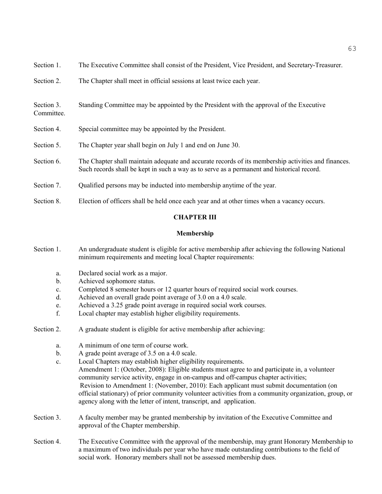- Section 1. The Executive Committee shall consist of the President, Vice President, and Secretary-Treasurer.
- Section 2. The Chapter shall meet in official sessions at least twice each year.
- Section 3. Standing Committee may be appointed by the President with the approval of the Executive Committee.
- Section 4. Special committee may be appointed by the President.
- Section 5. The Chapter year shall begin on July 1 and end on June 30.
- Section 6. The Chapter shall maintain adequate and accurate records of its membership activities and finances. Such records shall be kept in such a way as to serve as a permanent and historical record.
- Section 7. Qualified persons may be inducted into membership anytime of the year.
- Section 8. Election of officers shall be held once each year and at other times when a vacancy occurs.

# **CHAPTER III**

### **Membership**

- Section 1. An undergraduate student is eligible for active membership after achieving the following National minimum requirements and meeting local Chapter requirements:
	- a. Declared social work as a major.
	- b. Achieved sophomore status.
	- c. Completed 8 semester hours or 12 quarter hours of required social work courses.
	- d. Achieved an overall grade point average of 3.0 on a 4.0 scale.
	- e. Achieved a 3.25 grade point average in required social work courses.
	- f. Local chapter may establish higher eligibility requirements.
- Section 2. A graduate student is eligible for active membership after achieving:
	- a. A minimum of one term of course work.
	- b. A grade point average of 3.5 on a 4.0 scale.
	- c. Local Chapters may establish higher eligibility requirements. Amendment 1: (October, 2008): Eligible students must agree to and participate in, a volunteer community service activity, engage in on-campus and off-campus chapter activities; Revision to Amendment 1: (November, 2010): Each applicant must submit documentation (on official stationary) of prior community volunteer activities from a community organization, group, or agency along with the letter of intent, transcript, and application.
- Section 3. A faculty member may be granted membership by invitation of the Executive Committee and approval of the Chapter membership.
- Section 4. The Executive Committee with the approval of the membership, may grant Honorary Membership to a maximum of two individuals per year who have made outstanding contributions to the field of social work. Honorary members shall not be assessed membership dues.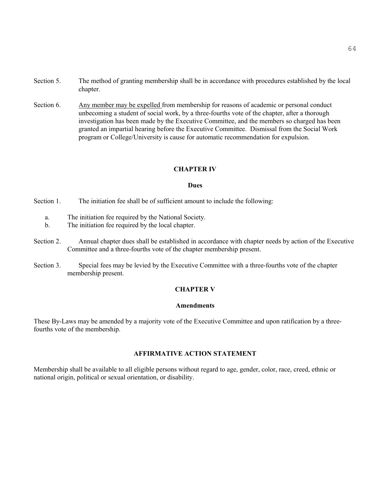- Section 5. The method of granting membership shall be in accordance with procedures established by the local chapter.
- Section 6. Any member may be expelled from membership for reasons of academic or personal conduct unbecoming a student of social work, by a three-fourths vote of the chapter, after a thorough investigation has been made by the Executive Committee, and the members so charged has been granted an impartial hearing before the Executive Committee. Dismissal from the Social Work program or College/University is cause for automatic recommendation for expulsion.

### **CHAPTER IV**

### **Dues**

Section 1. The initiation fee shall be of sufficient amount to include the following:

- a. The initiation fee required by the National Society.
- b. The initiation fee required by the local chapter.
- Section 2. Annual chapter dues shall be established in accordance with chapter needs by action of the Executive Committee and a three-fourths vote of the chapter membership present.
- Section 3. Special fees may be levied by the Executive Committee with a three-fourths vote of the chapter membership present.

### **CHAPTER V**

### **Amendments**

These By-Laws may be amended by a majority vote of the Executive Committee and upon ratification by a threefourths vote of the membership.

### **AFFIRMATIVE ACTION STATEMENT**

Membership shall be available to all eligible persons without regard to age, gender, color, race, creed, ethnic or national origin, political or sexual orientation, or disability.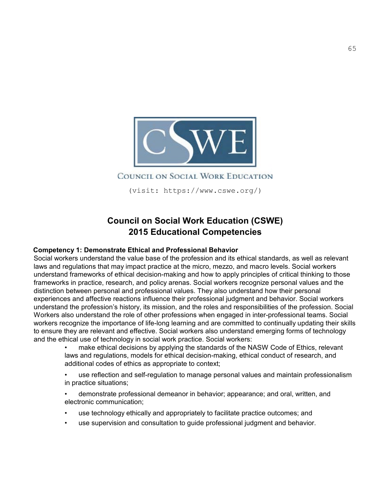

COUNCIL ON SOCIAL WORK EDUCATION

(visit: https://www.cswe.org/)

# **Council on Social Work Education (CSWE) 2015 Educational Competencies**

### **Competency 1: Demonstrate Ethical and Professional Behavior**

Social workers understand the value base of the profession and its ethical standards, as well as relevant laws and regulations that may impact practice at the micro, mezzo, and macro levels. Social workers understand frameworks of ethical decision-making and how to apply principles of critical thinking to those frameworks in practice, research, and policy arenas. Social workers recognize personal values and the distinction between personal and professional values. They also understand how their personal experiences and affective reactions influence their professional judgment and behavior. Social workers understand the profession's history, its mission, and the roles and responsibilities of the profession. Social Workers also understand the role of other professions when engaged in inter-professional teams. Social workers recognize the importance of life-long learning and are committed to continually updating their skills to ensure they are relevant and effective. Social workers also understand emerging forms of technology and the ethical use of technology in social work practice. Social workers:

• make ethical decisions by applying the standards of the NASW Code of Ethics, relevant laws and regulations, models for ethical decision-making, ethical conduct of research, and additional codes of ethics as appropriate to context;

• use reflection and self-regulation to manage personal values and maintain professionalism in practice situations;

• demonstrate professional demeanor in behavior; appearance; and oral, written, and electronic communication;

- use technology ethically and appropriately to facilitate practice outcomes; and
- use supervision and consultation to guide professional judgment and behavior.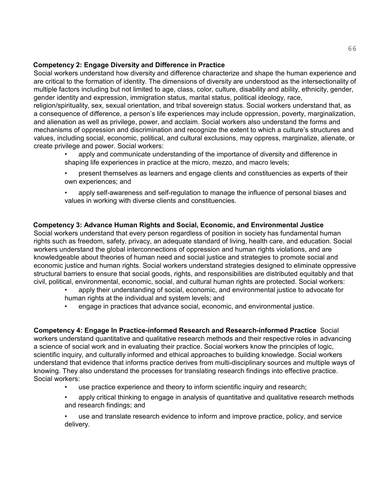# **Competency 2: Engage Diversity and Difference in Practice**

Social workers understand how diversity and difference characterize and shape the human experience and are critical to the formation of identity. The dimensions of diversity are understood as the intersectionality of multiple factors including but not limited to age, class, color, culture, disability and ability, ethnicity, gender, gender identity and expression, immigration status, marital status, political ideology, race,

religion/spirituality, sex, sexual orientation, and tribal sovereign status. Social workers understand that, as a consequence of difference, a person's life experiences may include oppression, poverty, marginalization, and alienation as well as privilege, power, and acclaim. Social workers also understand the forms and mechanisms of oppression and discrimination and recognize the extent to which a culture's structures and values, including social, economic, political, and cultural exclusions, may oppress, marginalize, alienate, or create privilege and power. Social workers:

apply and communicate understanding of the importance of diversity and difference in shaping life experiences in practice at the micro, mezzo, and macro levels;

• present themselves as learners and engage clients and constituencies as experts of their own experiences; and

• apply self-awareness and self-regulation to manage the influence of personal biases and values in working with diverse clients and constituencies.

# **Competency 3: Advance Human Rights and Social, Economic, and Environmental Justice**

Social workers understand that every person regardless of position in society has fundamental human rights such as freedom, safety, privacy, an adequate standard of living, health care, and education. Social workers understand the global interconnections of oppression and human rights violations, and are knowledgeable about theories of human need and social justice and strategies to promote social and economic justice and human rights. Social workers understand strategies designed to eliminate oppressive structural barriers to ensure that social goods, rights, and responsibilities are distributed equitably and that civil, political, environmental, economic, social, and cultural human rights are protected. Social workers:

- apply their understanding of social, economic, and environmental justice to advocate for human rights at the individual and system levels; and
- engage in practices that advance social, economic, and environmental justice.

**Competency 4: Engage In Practice-informed Research and Research-informed Practice** Social workers understand quantitative and qualitative research methods and their respective roles in advancing a science of social work and in evaluating their practice. Social workers know the principles of logic, scientific inquiry, and culturally informed and ethical approaches to building knowledge. Social workers understand that evidence that informs practice derives from multi-disciplinary sources and multiple ways of knowing. They also understand the processes for translating research findings into effective practice. Social workers:

- use practice experience and theory to inform scientific inquiry and research;
- apply critical thinking to engage in analysis of quantitative and qualitative research methods and research findings; and

• use and translate research evidence to inform and improve practice, policy, and service delivery.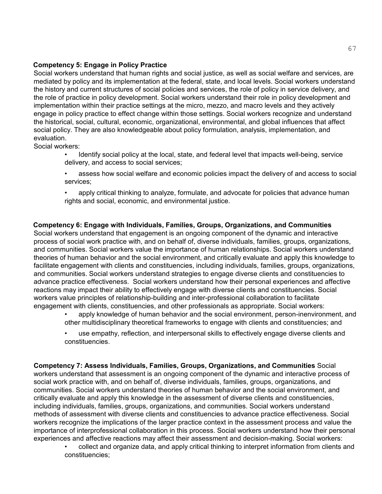### **Competency 5: Engage in Policy Practice**

Social workers understand that human rights and social justice, as well as social welfare and services, are mediated by policy and its implementation at the federal, state, and local levels. Social workers understand the history and current structures of social policies and services, the role of policy in service delivery, and the role of practice in policy development. Social workers understand their role in policy development and implementation within their practice settings at the micro, mezzo, and macro levels and they actively engage in policy practice to effect change within those settings. Social workers recognize and understand the historical, social, cultural, economic, organizational, environmental, and global influences that affect social policy. They are also knowledgeable about policy formulation, analysis, implementation, and evaluation.

Social workers:

- Identify social policy at the local, state, and federal level that impacts well-being, service delivery, and access to social services;
- assess how social welfare and economic policies impact the delivery of and access to social services;
- apply critical thinking to analyze, formulate, and advocate for policies that advance human rights and social, economic, and environmental justice.

# **Competency 6: Engage with Individuals, Families, Groups, Organizations, and Communities**

Social workers understand that engagement is an ongoing component of the dynamic and interactive process of social work practice with, and on behalf of, diverse individuals, families, groups, organizations, and communities. Social workers value the importance of human relationships. Social workers understand theories of human behavior and the social environment, and critically evaluate and apply this knowledge to facilitate engagement with clients and constituencies, including individuals, families, groups, organizations, and communities. Social workers understand strategies to engage diverse clients and constituencies to advance practice effectiveness. Social workers understand how their personal experiences and affective reactions may impact their ability to effectively engage with diverse clients and constituencies. Social workers value principles of relationship-building and inter-professional collaboration to facilitate engagement with clients, constituencies, and other professionals as appropriate. Social workers:

- apply knowledge of human behavior and the social environment, person-inenvironment, and other multidisciplinary theoretical frameworks to engage with clients and constituencies; and
- use empathy, reflection, and interpersonal skills to effectively engage diverse clients and constituencies.

**Competency 7: Assess Individuals, Families, Groups, Organizations, and Communities** Social workers understand that assessment is an ongoing component of the dynamic and interactive process of social work practice with, and on behalf of, diverse individuals, families, groups, organizations, and communities. Social workers understand theories of human behavior and the social environment, and critically evaluate and apply this knowledge in the assessment of diverse clients and constituencies, including individuals, families, groups, organizations, and communities. Social workers understand methods of assessment with diverse clients and constituencies to advance practice effectiveness. Social workers recognize the implications of the larger practice context in the assessment process and value the importance of interprofessional collaboration in this process. Social workers understand how their personal experiences and affective reactions may affect their assessment and decision-making. Social workers:

• collect and organize data, and apply critical thinking to interpret information from clients and constituencies;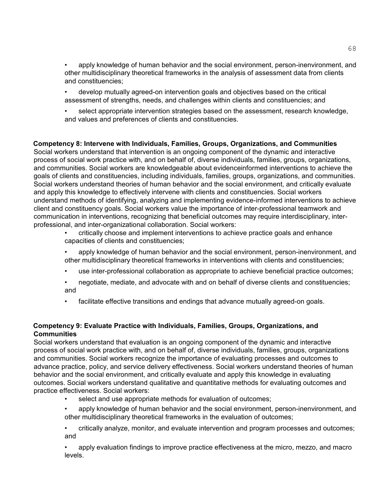• apply knowledge of human behavior and the social environment, person-inenvironment, and other multidisciplinary theoretical frameworks in the analysis of assessment data from clients and constituencies;

• develop mutually agreed-on intervention goals and objectives based on the critical assessment of strengths, needs, and challenges within clients and constituencies; and

• select appropriate intervention strategies based on the assessment, research knowledge, and values and preferences of clients and constituencies.

# **Competency 8: Intervene with Individuals, Families, Groups, Organizations, and Communities**

Social workers understand that intervention is an ongoing component of the dynamic and interactive process of social work practice with, and on behalf of, diverse individuals, families, groups, organizations, and communities. Social workers are knowledgeable about evidenceinformed interventions to achieve the goals of clients and constituencies, including individuals, families, groups, organizations, and communities. Social workers understand theories of human behavior and the social environment, and critically evaluate and apply this knowledge to effectively intervene with clients and constituencies. Social workers understand methods of identifying, analyzing and implementing evidence-informed interventions to achieve client and constituency goals. Social workers value the importance of inter-professional teamwork and communication in interventions, recognizing that beneficial outcomes may require interdisciplinary, interprofessional, and inter-organizational collaboration. Social workers:

• critically choose and implement interventions to achieve practice goals and enhance capacities of clients and constituencies;

- apply knowledge of human behavior and the social environment, person-inenvironment, and other multidisciplinary theoretical frameworks in interventions with clients and constituencies;
- use inter-professional collaboration as appropriate to achieve beneficial practice outcomes;
- negotiate, mediate, and advocate with and on behalf of diverse clients and constituencies; and
- facilitate effective transitions and endings that advance mutually agreed-on goals.

# **Competency 9: Evaluate Practice with Individuals, Families, Groups, Organizations, and Communities**

Social workers understand that evaluation is an ongoing component of the dynamic and interactive process of social work practice with, and on behalf of, diverse individuals, families, groups, organizations and communities. Social workers recognize the importance of evaluating processes and outcomes to advance practice, policy, and service delivery effectiveness. Social workers understand theories of human behavior and the social environment, and critically evaluate and apply this knowledge in evaluating outcomes. Social workers understand qualitative and quantitative methods for evaluating outcomes and practice effectiveness. Social workers:

select and use appropriate methods for evaluation of outcomes;

• apply knowledge of human behavior and the social environment, person-inenvironment, and other multidisciplinary theoretical frameworks in the evaluation of outcomes;

• critically analyze, monitor, and evaluate intervention and program processes and outcomes; and

• apply evaluation findings to improve practice effectiveness at the micro, mezzo, and macro levels.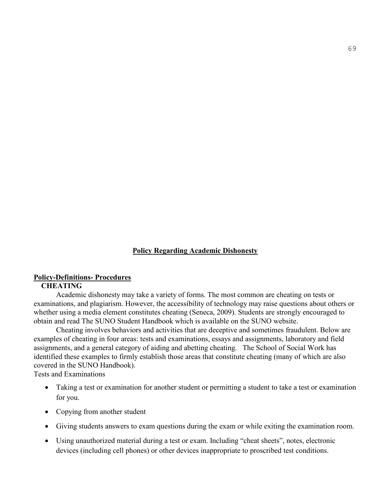# **Policy Regarding Academic Dishonesty**

# **Policy-Definitions- Procedures**

# **CHEATING**

Academic dishonesty may take a variety of forms. The most common are cheating on tests or examinations, and plagiarism. However, the accessibility of technology may raise questions about others or whether using a media element constitutes cheating (Seneca, 2009). Students are strongly encouraged to obtain and read The SUNO Student Handbook which is available on the SUNO website.

Cheating involves behaviors and activities that are deceptive and sometimes fraudulent. Below are examples of cheating in four areas: tests and examinations, essays and assignments, laboratory and field assignments, and a general category of aiding and abetting cheating. The School of Social Work has identified these examples to firmly establish those areas that constitute cheating (many of which are also covered in the SUNO Handbook).

Tests and Examinations

- Taking a test or examination for another student or permitting a student to take a test or examination for you.
- Copying from another student
- Giving students answers to exam questions during the exam or while exiting the examination room.
- Using unauthorized material during a test or exam. Including "cheat sheets", notes, electronic devices (including cell phones) or other devices inappropriate to proscribed test conditions.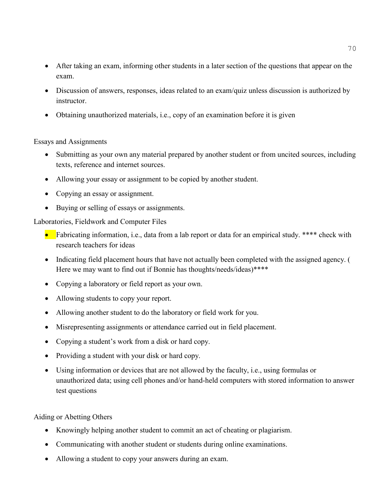- After taking an exam, informing other students in a later section of the questions that appear on the exam.
- Discussion of answers, responses, ideas related to an exam/quiz unless discussion is authorized by instructor.
- Obtaining unauthorized materials, i.e., copy of an examination before it is given

# Essays and Assignments

- Submitting as your own any material prepared by another student or from uncited sources, including texts, reference and internet sources.
- Allowing your essay or assignment to be copied by another student.
- Copying an essay or assignment.
- Buying or selling of essays or assignments.

Laboratories, Fieldwork and Computer Files

- Fabricating information, i.e., data from a lab report or data for an empirical study. \*\*\*\* check with research teachers for ideas
- Indicating field placement hours that have not actually been completed with the assigned agency. ( Here we may want to find out if Bonnie has thoughts/needs/ideas)\*\*\*\*
- Copying a laboratory or field report as your own.
- Allowing students to copy your report.
- Allowing another student to do the laboratory or field work for you.
- Misrepresenting assignments or attendance carried out in field placement.
- Copying a student's work from a disk or hard copy.
- Providing a student with your disk or hard copy.
- Using information or devices that are not allowed by the faculty, i.e., using formulas or unauthorized data; using cell phones and/or hand-held computers with stored information to answer test questions

# Aiding or Abetting Others

- Knowingly helping another student to commit an act of cheating or plagiarism.
- Communicating with another student or students during online examinations.
- Allowing a student to copy your answers during an exam.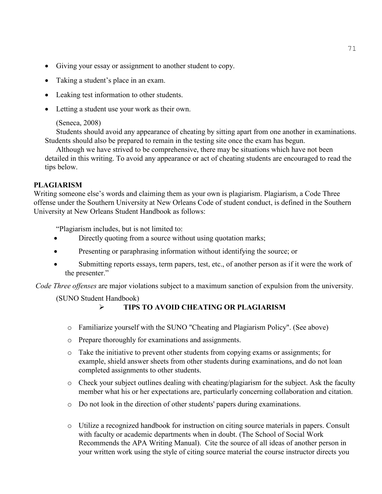- Giving your essay or assignment to another student to copy.
- Taking a student's place in an exam.
- Leaking test information to other students.
- Letting a student use your work as their own.

### (Seneca, 2008)

Students should avoid any appearance of cheating by sitting apart from one another in examinations. Students should also be prepared to remain in the testing site once the exam has begun.

Although we have strived to be comprehensive, there may be situations which have not been detailed in this writing. To avoid any appearance or act of cheating students are encouraged to read the tips below.

# **PLAGIARISM**

Writing someone else's words and claiming them as your own is plagiarism. Plagiarism, a Code Three offense under the Southern University at New Orleans Code of student conduct, is defined in the Southern University at New Orleans Student Handbook as follows:

"Plagiarism includes, but is not limited to:

- Directly quoting from a source without using quotation marks;
- Presenting or paraphrasing information without identifying the source; or
- Submitting reports essays, term papers, test, etc., of another person as if it were the work of the presenter."

*Code Three offenses* are major violations subject to a maximum sanction of expulsion from the university.

(SUNO Student Handbook)

# **TIPS TO AVOID CHEATING OR PLAGIARISM**

- o Familiarize yourself with the SUNO "Cheating and Plagiarism Policy". (See above)
- o Prepare thoroughly for examinations and assignments.
- o Take the initiative to prevent other students from copying exams or assignments; for example, shield answer sheets from other students during examinations, and do not loan completed assignments to other students.
- o Check your subject outlines dealing with cheating/plagiarism for the subject. Ask the faculty member what his or her expectations are, particularly concerning collaboration and citation.
- o Do not look in the direction of other students' papers during examinations.
- o Utilize a recognized handbook for instruction on citing source materials in papers. Consult with faculty or academic departments when in doubt. (The School of Social Work Recommends the APA Writing Manual). Cite the source of all ideas of another person in your written work using the style of citing source material the course instructor directs you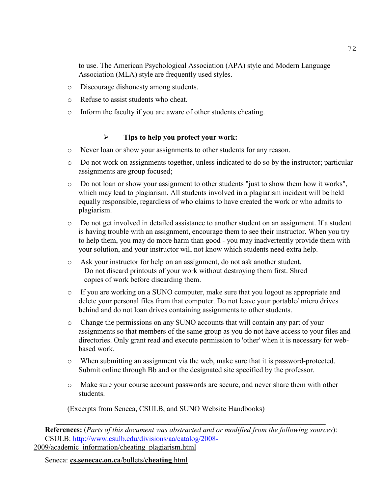to use. The American Psychological Association (APA) style and Modern Language Association (MLA) style are frequently used styles.

- o Discourage dishonesty among students.
- o Refuse to assist students who cheat.
- o Inform the faculty if you are aware of other students cheating.

# **Tips to help you protect your work:**

- o Never loan or show your assignments to other students for any reason.
- o Do not work on assignments together, unless indicated to do so by the instructor; particular assignments are group focused;
- o Do not loan or show your assignment to other students "just to show them how it works", which may lead to plagiarism. All students involved in a plagiarism incident will be held equally responsible, regardless of who claims to have created the work or who admits to plagiarism.
- o Do not get involved in detailed assistance to another student on an assignment. If a student is having trouble with an assignment, encourage them to see their instructor. When you try to help them, you may do more harm than good - you may inadvertently provide them with your solution, and your instructor will not know which students need extra help.
- o Ask your instructor for help on an assignment, do not ask another student. Do not discard printouts of your work without destroying them first. Shred copies of work before discarding them.
- o If you are working on a SUNO computer, make sure that you logout as appropriate and delete your personal files from that computer. Do not leave your portable/ micro drives behind and do not loan drives containing assignments to other students.
- o Change the permissions on any SUNO accounts that will contain any part of your assignments so that members of the same group as you do not have access to your files and directories. Only grant read and execute permission to 'other' when it is necessary for webbased work.
- o When submitting an assignment via the web, make sure that it is password-protected. Submit online through Bb and or the designated site specified by the professor.
- o Make sure your course account passwords are secure, and never share them with other students.

(Excerpts from Seneca, CSULB, and SUNO Website Handbooks)

**References:** (*Parts of this document was abstracted and or modified from the following sources*): CSULB:<http://www.csulb.edu/divisions/aa/catalog/2008->

**\_\_\_\_\_\_\_\_\_\_\_\_\_\_\_\_\_\_\_\_\_\_\_\_\_\_\_\_\_\_\_\_\_\_\_\_\_\_\_\_\_\_\_\_\_\_\_\_\_\_\_\_\_\_\_\_\_\_\_\_\_\_\_\_\_\_\_\_\_\_\_\_**

2009/academic\_information/cheating\_plagiarism.html

Seneca: **cs.senecac.on.ca**/bullets/**cheating**.html